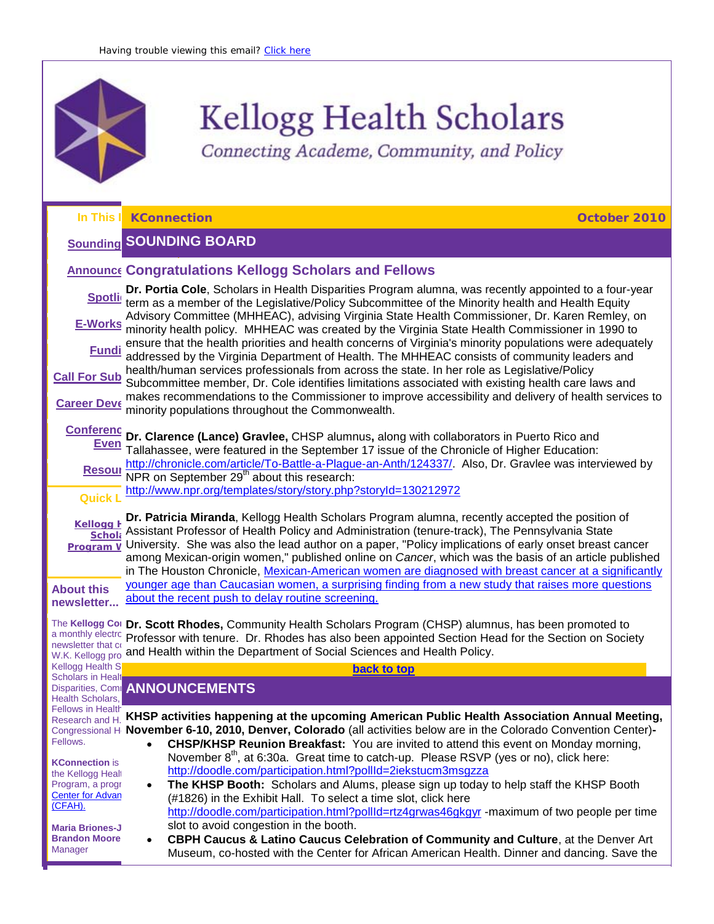

Connecting Academe, Community, and Policy

<span id="page-0-2"></span><span id="page-0-1"></span><span id="page-0-0"></span>

|                                                                                | In This   KConnection<br>October 2010                                                                                                                                                                                                                                                                                                                                                                                                                                                                                       |
|--------------------------------------------------------------------------------|-----------------------------------------------------------------------------------------------------------------------------------------------------------------------------------------------------------------------------------------------------------------------------------------------------------------------------------------------------------------------------------------------------------------------------------------------------------------------------------------------------------------------------|
|                                                                                | <b>Sounding SOUNDING BOARD</b>                                                                                                                                                                                                                                                                                                                                                                                                                                                                                              |
|                                                                                | <b>Announce Congratulations Kellogg Scholars and Fellows</b>                                                                                                                                                                                                                                                                                                                                                                                                                                                                |
| <b>Spotli</b>                                                                  | Dr. Portia Cole, Scholars in Health Disparities Program alumna, was recently appointed to a four-year<br>term as a member of the Legislative/Policy Subcommittee of the Minority health and Health Equity<br>Advisory Committee (MHHEAC), advising Virginia State Health Commissioner, Dr. Karen Remley, on                                                                                                                                                                                                                 |
| E-Works                                                                        | minority health policy. MHHEAC was created by the Virginia State Health Commissioner in 1990 to<br>ensure that the health priorities and health concerns of Virginia's minority populations were adequately                                                                                                                                                                                                                                                                                                                 |
| <b>Fundi</b>                                                                   | addressed by the Virginia Department of Health. The MHHEAC consists of community leaders and                                                                                                                                                                                                                                                                                                                                                                                                                                |
| <b>Call For Sub</b>                                                            | health/human services professionals from across the state. In her role as Legislative/Policy<br>Subcommittee member, Dr. Cole identifies limitations associated with existing health care laws and                                                                                                                                                                                                                                                                                                                          |
| <b>Career Deve</b>                                                             | makes recommendations to the Commissioner to improve accessibility and delivery of health services to<br>minority populations throughout the Commonwealth.                                                                                                                                                                                                                                                                                                                                                                  |
| <b>Conferenc</b><br><b>Even</b>                                                | Dr. Clarence (Lance) Gravlee, CHSP alumnus, along with collaborators in Puerto Rico and<br>Tallahassee, were featured in the September 17 issue of the Chronicle of Higher Education:                                                                                                                                                                                                                                                                                                                                       |
| <b>Resour</b>                                                                  | http://chronicle.com/article/To-Battle-a-Plague-an-Anth/124337/. Also, Dr. Gravlee was interviewed by<br>NPR on September 29 <sup>th</sup> about this research:                                                                                                                                                                                                                                                                                                                                                             |
| <b>Quick L</b>                                                                 | http://www.npr.org/templates/story/story.php?storyId=130212972                                                                                                                                                                                                                                                                                                                                                                                                                                                              |
| <b>Kellogg F</b><br><b>Schola</b><br><b>Program V</b>                          | Dr. Patricia Miranda, Kellogg Health Scholars Program alumna, recently accepted the position of<br>Assistant Professor of Health Policy and Administration (tenure-track), The Pennsylvania State<br>University. She was also the lead author on a paper, "Policy implications of early onset breast cancer<br>among Mexican-origin women," published online on Cancer, which was the basis of an article published<br>in The Houston Chronicle, Mexican-American women are diagnosed with breast cancer at a significantly |
| <b>About this</b><br>newsletter                                                | younger age than Caucasian women, a surprising finding from a new study that raises more questions<br>about the recent push to delay routine screening.                                                                                                                                                                                                                                                                                                                                                                     |
| The Kellogg Cor<br>a monthly electro<br>newsletter that co<br>W.K. Kellogg pro | Dr. Scott Rhodes, Community Health Scholars Program (CHSP) alumnus, has been promoted to<br>Professor with tenure. Dr. Rhodes has also been appointed Section Head for the Section on Society<br>and Health within the Department of Social Sciences and Health Policy.                                                                                                                                                                                                                                                     |
| <b>Kellogg Health S</b><br>Scholars in Healt                                   | back to top                                                                                                                                                                                                                                                                                                                                                                                                                                                                                                                 |
| Health Scholars,                                                               | <b>Disparities, Comp ANNOUNCEMENTS</b>                                                                                                                                                                                                                                                                                                                                                                                                                                                                                      |
| <b>Fellows in Health</b><br>Fellows.                                           | Research and H. KHSP activities happening at the upcoming American Public Health Association Annual Meeting,<br>Congressional H November 6-10, 2010, Denver, Colorado (all activities below are in the Colorado Convention Center)-<br>CHSP/KHSP Reunion Breakfast: You are invited to attend this event on Monday morning,                                                                                                                                                                                                 |
| <b>KConnection is</b>                                                          | November 8 <sup>th</sup> , at 6:30a. Great time to catch-up. Please RSVP (yes or no), click here:<br>http://doodle.com/participation.html?pollId=2iekstucm3msgzza                                                                                                                                                                                                                                                                                                                                                           |
| the Kellogg Healt<br>Program, a progr                                          | The KHSP Booth: Scholars and Alums, please sign up today to help staff the KHSP Booth                                                                                                                                                                                                                                                                                                                                                                                                                                       |
| <b>Center for Advan</b><br>(CFAH).                                             | (#1826) in the Exhibit Hall. To select a time slot, click here<br>http://doodle.com/participation.html?pollId=rtz4grwas46gkgyr -maximum of two people per time                                                                                                                                                                                                                                                                                                                                                              |
| <b>Maria Briones-J</b>                                                         | slot to avoid congestion in the booth.                                                                                                                                                                                                                                                                                                                                                                                                                                                                                      |
| <b>Brandon Moore</b><br>Manager                                                | CBPH Caucus & Latino Caucus Celebration of Community and Culture, at the Denver Art<br>$\bullet$<br>Museum, co-hosted with the Center for African American Health. Dinner and dancing. Save the                                                                                                                                                                                                                                                                                                                             |
|                                                                                |                                                                                                                                                                                                                                                                                                                                                                                                                                                                                                                             |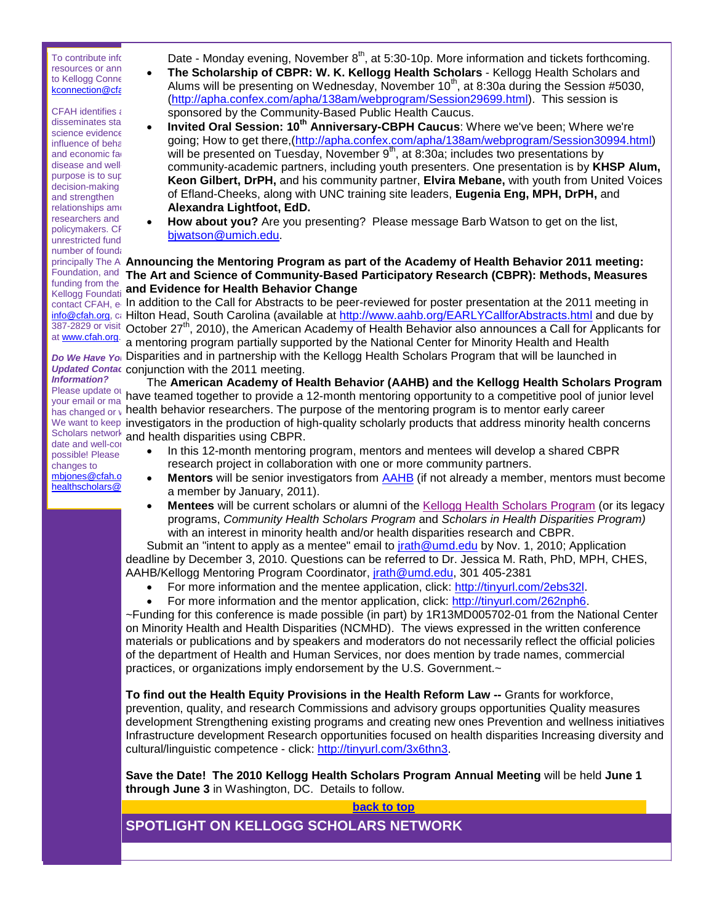To contribute info  $resources$  or ann  $\bullet$ to Kellogg Conne kconnection@cfa

 $CFAH$  identifies  $\epsilon$  $disseminates$  sta $\bullet$ science evidence influence of beha and economic fac disease and wellpurpose is to sup decision-making and strengthen  $relations$ hips among researchers and policymakers. CF unrestricted fund number of foundations. funding from the  $\sim$ at [www.cfah.org.](http://r20.rs6.net/tn.jsp?llr=5gytkqcab&et=1103757641324&s=1&e=001-tkSpkuRugCnOqMWzJC3LVoTWMPEyRL4ETd2YTvelAuY7wq2zz7Jfe1NeQx2PxZn_RmlNnjdeE_1uzBQzbAZVKs1e_04wEirE-RzX-IkOlc=)

*Information?* Please update our hours

date and well-con possible! Please changes to mbjones@cfah.o healthscholars@

Date - Monday evening, November  $8<sup>th</sup>$ , at 5:30-10p. More information and tickets forthcoming.

- **The Scholarship of CBPR: W. K. Kellogg Health Scholars** Kellogg Health Scholars and Alums will be presenting on Wednesday, November  $10^{th}$ , at 8:30a during the Session #5030, [\(http://apha.confex.com/apha/138am/webprogram/Session29699.html\)](http://r20.rs6.net/tn.jsp?llr=5gytkqcab&et=1103757641324&s=1&e=001-tkSpkuRugAjJW2UqwKn5YP9_6Onj6kKs1ZKhy2mShCUf5Bw9hYNjS14cjg78OrNn30NBE9XRytYsLqbrAEwdCupKZiRDeePP8S2gg68MCn8ab9OU8_kJmILF_907Ki5EqxiRpqS6UYCGh1kKYk9T5agP3AYxQq_tj2m4vbsxxM=). This session is sponsored by the Community-Based Public Health Caucus.
- **Invited Oral Session: 10th Anniversary-CBPH Caucus**: Where we've been; Where we're going; How to get there,[\(http://apha.confex.com/apha/138am/webprogram/Session30994.html\)](http://r20.rs6.net/tn.jsp?llr=5gytkqcab&et=1103757641324&s=1&e=001-tkSpkuRugBVivmN8nc86wOxWZ6Mz41fCyQ6_6WjkNgpn8F5WP-GvB0aXC7wLp3OAa5QsmN9QQ4Uv8Mib2wwT_y7xqFMU63CrPryEsLNXrGkDbyrzkoRndkGM5iwafVcXMWA0XGNmzzoJpq_7Iu_4Ats-4EKGtT1EMxcWoZZvs0=) will be presented on Tuesday, November  $9<sup>th</sup>$ , at 8:30a; includes two presentations by community-academic partners, including youth presenters. One presentation is by **KHSP Alum, Keon Gilbert, DrPH,** and his community partner, **Elvira Mebane,** with youth from United Voices of Efland-Cheeks, along with UNC training site leaders, **Eugenia Eng, MPH, DrPH,** and **Alexandra Lightfoot, EdD.**
- **How about you?** Are you presenting? Please message Barb Watson to get on the list, [bjwatson@umich.edu.](mailto:bjwatson@umich.edu)

## principally The A **Announcing the Mentoring Program as part of the Academy of Health Behavior 2011 meeting:** Foundation, and The Art and Science of Community-Based Participatory Research (CBPR): Methods, Measures Rellogg Foundati and Evidence for Health Behavior Change

 $_{\rm contact}$  CFAH,  $_{\rm e}$  In addition to the Call for Abstracts to be peer-reviewed for poster presentation at the 2011 meeting in <u>info@cfah.org</u>, callton Head, South Carolina (available at <u>[http://www.aahb.org/EARLYCallforAbstracts.html](http://r20.rs6.net/tn.jsp?llr=5gytkqcab&et=1103757641324&s=1&e=001-tkSpkuRugAVTf21X4dVyAxGdRiOX0-O7UgqDz7ewY4B_AUe8ZIMCUgYXBns7iidgXOWWkc0Se6CrEggk10ZnL4tkyFm-p5d_J3XxTDN7ZwM4kd0zlF51w5BzPA4aQDQ9nrs_UZtt6E=)</u> and due by  $387-2829$  or visit October 27<sup>th</sup>, 2010), the American Academy of Health Behavior also announces a Call for Applicants for Do We Have Yo Disparities and in partnership with the Kellogg Health Scholars Program that will be launched in Updated Contac conjunction with the 2011 meeting. a mentoring program partially supported by the National Center for Minority Health and Health

 $y_{\text{our email or ma}}$  have teamed together to provide a 12-month mentoring opportunity to a competitive pool of junior level  $_{\mathsf{has}\text{ changed}\text{ or }\iota}$  health behavior researchers. The purpose of the mentoring program is to mentor early career  $\iota$ We want to keep investigators in the production of high-quality scholarly products that address minority health concerns Scholars network and health disparities using CBPR. The **American Academy of Health Behavior (AAHB) and the Kellogg Health Scholars Program**

- In this 12-month mentoring program, mentors and mentees will develop a shared CBPR research project in collaboration with one or more community partners.
- **Mentors** will be senior investigators from [AAHB](http://r20.rs6.net/tn.jsp?llr=5gytkqcab&et=1103757641324&s=1&e=001-tkSpkuRugDRcW2EUA3ZecCG40bhDXrQkcp4a-meh9MDiNo1fK4rZ3xFcjoov1uqM_d8IcGhQyRPBWO_aFPq9vyK7kJBLE_q) (if not already a member, mentors must become a member by January, 2011).
- **Mentees** will be current scholars or alumni of the [Kellogg Health Scholars Program](http://r20.rs6.net/tn.jsp?llr=5gytkqcab&et=1103757641324&s=1&e=001-tkSpkuRugB5g3t5j8hS11xXCsL0W5HFHqEHwIIMUeB4sHXl6-p07-8sFuU-ziuUsVL9RuJeZsqjeQqH_DmQqtoox8GoTLBdHGyxZKlBG4sNp5jrGvLi2WOoJ-tRoTS6) (or its legacy programs, *Community Health Scholars Program* and *Scholars in Health Disparities Program)*  with an interest in minority health and/or health disparities research and CBPR.

Submit an "intent to apply as a mentee" email to [jrath@umd.edu](mailto:jrath@umd.edu) by Nov. 1, 2010; Application deadline by December 3, 2010. Questions can be referred to Dr. Jessica M. Rath, PhD, MPH, CHES, AAHB/Kellogg Mentoring Program Coordinator, [jrath@umd.edu,](mailto:jrath@umd.edu) 301 405-2381

- For more information and the mentee application, click: [http://tinyurl.com/2ebs32l.](http://r20.rs6.net/tn.jsp?llr=5gytkqcab&et=1103757641324&s=1&e=001-tkSpkuRugBxYwG9CQXMS3klbmWCV3icy6QwCCmvljtBmpu8OfwYejfAucUeNQwHAbYCWQ5jDywO2ovMZiy4QNm_QcoEGmCjVhlcsuaV0S91UMtgelCpkw==)
- For more information and the mentor application, click: [http://tinyurl.com/262nph6.](http://r20.rs6.net/tn.jsp?llr=5gytkqcab&et=1103757641324&s=1&e=001-tkSpkuRugAXKB85teG2ljszvkLamKIhrHSS6a3J_uNTcS5cHYZ7YuRl9BQzeG0ZVq4HzS-eoHPg6Jav4GSNk5Zb4Vcbs6WacQI0inN9Y93bGWp9AEA0cg==)

~Funding for this conference is made possible (in part) by 1R13MD005702-01 from the National Center on Minority Health and Health Disparities (NCMHD). The views expressed in the written conference materials or publications and by speakers and moderators do not necessarily reflect the official policies of the department of Health and Human Services, nor does mention by trade names, commercial practices, or organizations imply endorsement by the U.S. Government.~

**To find out the Health Equity Provisions in the Health Reform Law --** Grants for workforce, prevention, quality, and research Commissions and advisory groups opportunities Quality measures development Strengthening existing programs and creating new ones Prevention and wellness initiatives Infrastructure development Research opportunities focused on health disparities Increasing diversity and cultural/linguistic competence - click: [http://tinyurl.com/3x6thn3.](http://r20.rs6.net/tn.jsp?llr=5gytkqcab&et=1103757641324&s=1&e=001-tkSpkuRugApYgH6hgs18iaz1n_zPfz-YRV9trId7I3QuynE5RrwhGYSl_wPqR6zF4IUl6DL9p558N6YwNhw86dga_Kl0IEg5SexkpHMl9Vxckjf_2xyfg==)

**Save the Date! The 2010 Kellogg Health Scholars Program Annual Meeting** will be held **June 1 through June 3** in Washington, DC. Details to follow.

**[back to top](#page-0-2)**

# <span id="page-1-0"></span>**SPOTLIGHT ON KELLOGG SCHOLARS NETWORK**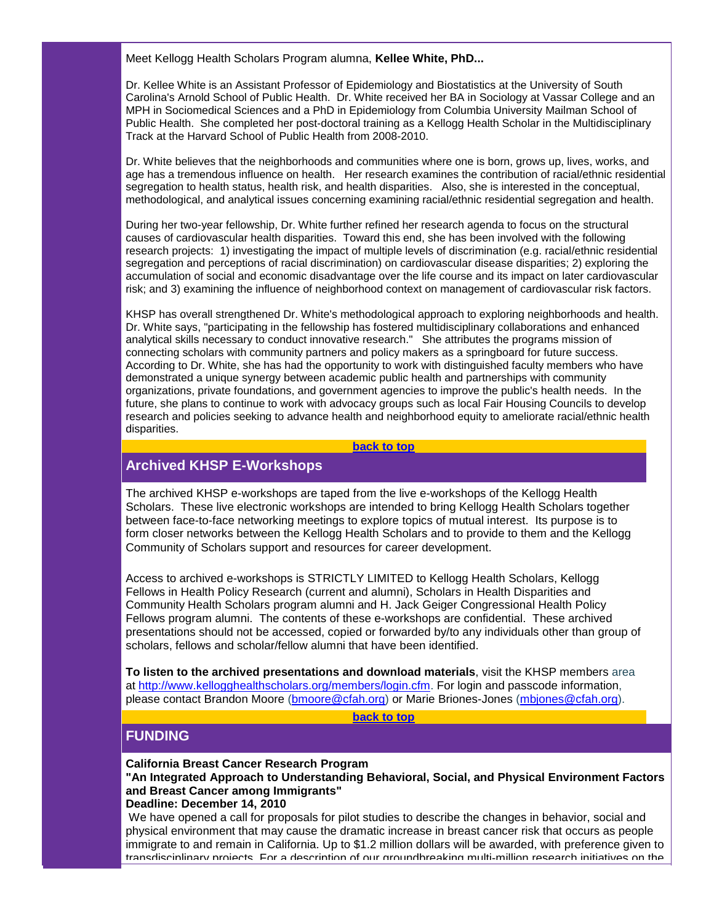Meet Kellogg Health Scholars Program alumna, **Kellee White, PhD...**

Dr. Kellee White is an Assistant Professor of Epidemiology and Biostatistics at the University of South Carolina's Arnold School of Public Health. Dr. White received her BA in Sociology at Vassar College and an MPH in Sociomedical Sciences and a PhD in Epidemiology from Columbia University Mailman School of Public Health. She completed her post-doctoral training as a Kellogg Health Scholar in the Multidisciplinary Track at the Harvard School of Public Health from 2008-2010.

Dr. White believes that the neighborhoods and communities where one is born, grows up, lives, works, and age has a tremendous influence on health. Her research examines the contribution of racial/ethnic residential segregation to health status, health risk, and health disparities. Also, she is interested in the conceptual, methodological, and analytical issues concerning examining racial/ethnic residential segregation and health.

During her two-year fellowship, Dr. White further refined her research agenda to focus on the structural causes of cardiovascular health disparities. Toward this end, she has been involved with the following research projects: 1) investigating the impact of multiple levels of discrimination (e.g. racial/ethnic residential segregation and perceptions of racial discrimination) on cardiovascular disease disparities; 2) exploring the accumulation of social and economic disadvantage over the life course and its impact on later cardiovascular risk; and 3) examining the influence of neighborhood context on management of cardiovascular risk factors.

KHSP has overall strengthened Dr. White's methodological approach to exploring neighborhoods and health. Dr. White says, "participating in the fellowship has fostered multidisciplinary collaborations and enhanced analytical skills necessary to conduct innovative research." She attributes the programs mission of connecting scholars with community partners and policy makers as a springboard for future success. According to Dr. White, she has had the opportunity to work with distinguished faculty members who have demonstrated a unique synergy between academic public health and partnerships with community organizations, private foundations, and government agencies to improve the public's health needs. In the future, she plans to continue to work with advocacy groups such as local Fair Housing Councils to develop research and policies seeking to advance health and neighborhood equity to ameliorate racial/ethnic health disparities.

#### **[back to top](#page-0-2)**

## <span id="page-2-0"></span>**Archived KHSP E-Workshops**

The archived KHSP e-workshops are taped from the live e-workshops of the Kellogg Health Scholars. These live electronic workshops are intended to bring Kellogg Health Scholars together between face-to-face networking meetings to explore topics of mutual interest. Its purpose is to form closer networks between the Kellogg Health Scholars and to provide to them and the Kellogg Community of Scholars support and resources for career development.

Access to archived e-workshops is STRICTLY LIMITED to Kellogg Health Scholars, Kellogg Fellows in Health Policy Research (current and alumni), Scholars in Health Disparities and Community Health Scholars program alumni and H. Jack Geiger Congressional Health Policy Fellows program alumni. The contents of these e-workshops are confidential. These archived presentations should not be accessed, copied or forwarded by/to any individuals other than group of scholars, fellows and scholar/fellow alumni that have been identified.

**To listen to the archived presentations and download materials**, visit the KHSP members area at [http://www.kellogghealthscholars.org/members/login.cfm.](http://r20.rs6.net/tn.jsp?llr=5gytkqcab&et=1103757641324&s=1&e=001-tkSpkuRugBcdxMqphiykWteGF-oxQgFQjpn-SQhj9V7yTV330P_xCQiR9cPMkKW7FzhI3nECNzYtbRawAvNEYmRfzXCgEeEdSDY3AFi8Hc9qA0ylbxDf8AeZhMsDi2tPfzHYDkcNGTiEzgc67s_2w==) For login and passcode information, please contact Brandon Moore [\(bmoore@cfah.org\)](mailto:bmoore@cfah.org) or Marie Briones-Jones [\(mbjones@cfah.org\)](mailto:mbjones@cfah.org).

**[back to top](#page-0-2)**

## <span id="page-2-1"></span>**FUNDING**

#### **California Breast Cancer Research Program**

**"An Integrated Approach to Understanding Behavioral, Social, and Physical Environment Factors and Breast Cancer among Immigrants"**

**Deadline: December 14, 2010**

We have opened a call for proposals for pilot studies to describe the changes in behavior, social and physical environment that may cause the dramatic increase in breast cancer risk that occurs as people immigrate to and remain in California. Up to \$1.2 million dollars will be awarded, with preference given to transdisciplinary projects. For a description of our groundbreaking multi-million research initiatives on the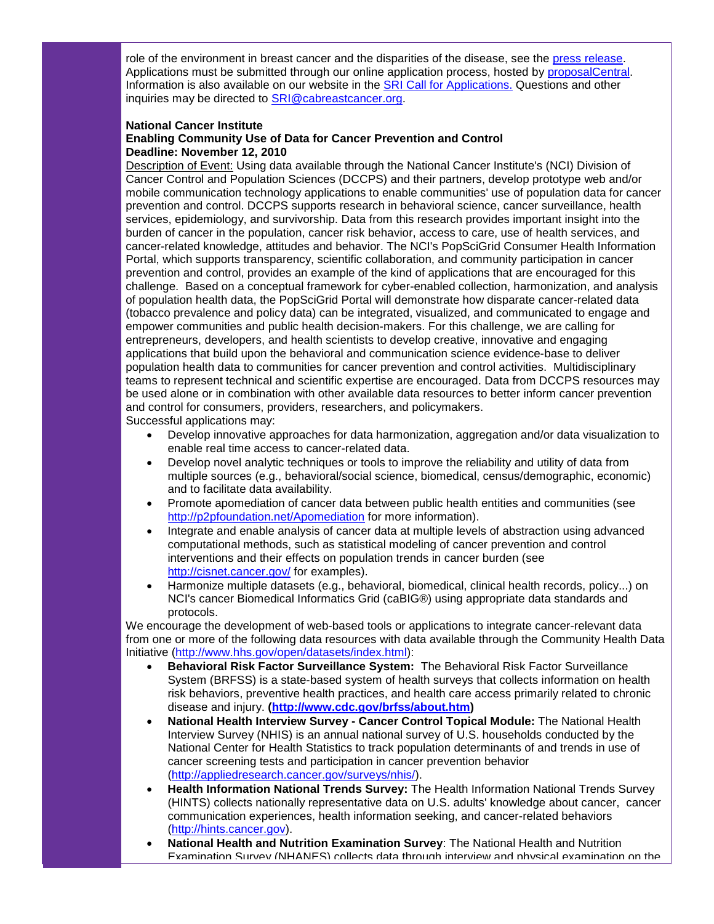role of the environment in breast cancer and the disparities of the disease, see the [press release.](http://r20.rs6.net/tn.jsp?llr=5gytkqcab&et=1103757641324&s=1&e=001-tkSpkuRugAfKTHbK4QY5-H4S9gUjLOE6A5LYcr-5f6Ars22lA5DRJ5BJeq0CnGSqw5jT-BSCHj1NsYtTizZjbNHBu4deGTahSkkhAeGnKsOwLjQ-ljkM7fhIP7gNdou-rqdMrQo3Hc=)  Applications must be submitted through our online application process, hosted by [proposalCentral.](http://r20.rs6.net/tn.jsp?llr=5gytkqcab&et=1103757641324&s=1&e=001-tkSpkuRugCcckBSHqbZurIV_Ze7m4vGGjwiXoqhq6C26BIoqEQxqQSU7p63vWvibFPWwgw4ueTXtmNzU020HVBBaDC2_IJzc4qbC9rDE-JtGKzGhYFBhO81xrkYjfhJ) Information is also available on our website in the [SRI Call for Applications.](http://r20.rs6.net/tn.jsp?llr=5gytkqcab&et=1103757641324&s=1&e=001-tkSpkuRugBveX24c3NTF26ksDh6VxN6sSIE4RNEB_xhkqo-pOOerIGNkAWwnQU4DPWCLl-1S-PZXlJROLukt_QispS6c_cq-_psqGVK438oLFMjmf0bMM0K4VIHvRIQ) Questions and other inquiries may be directed to [SRI@cabreastcancer.org.](mailto:SRI@cabreastcancer.org) 

### **National Cancer Institute Enabling Community Use of Data for Cancer Prevention and Control Deadline: November 12, 2010**

Description of Event: Using data available through the National Cancer Institute's (NCI) Division of Cancer Control and Population Sciences (DCCPS) and their partners, develop prototype web and/or mobile communication technology applications to enable communities' use of population data for cancer prevention and control. DCCPS supports research in behavioral science, cancer surveillance, health services, epidemiology, and survivorship. Data from this research provides important insight into the burden of cancer in the population, cancer risk behavior, access to care, use of health services, and cancer-related knowledge, attitudes and behavior. The NCI's PopSciGrid Consumer Health Information Portal, which supports transparency, scientific collaboration, and community participation in cancer prevention and control, provides an example of the kind of applications that are encouraged for this challenge. Based on a conceptual framework for cyber-enabled collection, harmonization, and analysis of population health data, the PopSciGrid Portal will demonstrate how disparate cancer-related data (tobacco prevalence and policy data) can be integrated, visualized, and communicated to engage and empower communities and public health decision-makers. For this challenge, we are calling for entrepreneurs, developers, and health scientists to develop creative, innovative and engaging applications that build upon the behavioral and communication science evidence-base to deliver population health data to communities for cancer prevention and control activities. Multidisciplinary teams to represent technical and scientific expertise are encouraged. Data from DCCPS resources may be used alone or in combination with other available data resources to better inform cancer prevention and control for consumers, providers, researchers, and policymakers. Successful applications may:

• Develop innovative approaches for data harmonization, aggregation and/or data visualization to enable real time access to cancer-related data.

- Develop novel analytic techniques or tools to improve the reliability and utility of data from multiple sources (e.g., behavioral/social science, biomedical, census/demographic, economic) and to facilitate data availability.
- Promote apomediation of cancer data between public health entities and communities (see [http://p2pfoundation.net/Apomediation](http://r20.rs6.net/tn.jsp?llr=5gytkqcab&et=1103757641324&s=1&e=001-tkSpkuRugAxtlDQWHJDsNucibj-qc341L_VAMbArPxmQEl0YXIOHiZN-UL9THzMN5ZkrevvtCTHdtm4JJgLWwF6fzLmeii1tLxMJRJC9BmK6SXYWLFrO5xEhBjvYZDR) for more information).
- Integrate and enable analysis of cancer data at multiple levels of abstraction using advanced computational methods, such as statistical modeling of cancer prevention and control interventions and their effects on population trends in cancer burden (see [http://cisnet.cancer.gov/](http://r20.rs6.net/tn.jsp?llr=5gytkqcab&et=1103757641324&s=1&e=001-tkSpkuRugBnXEcnzik-GKYLPXWJVaQOkA4ngTMBU5ULQ30AaZhuHWsO1VILBZTvSH8bPXPHuAAqkgaPN0_EuWkhGcx9tBd_8gS1xxaTYXXmLkCxjVkwTw==) for examples).
- Harmonize multiple datasets (e.g., behavioral, biomedical, clinical health records, policy...) on NCI's cancer Biomedical Informatics Grid (caBIG®) using appropriate data standards and protocols.

We encourage the development of web-based tools or applications to integrate cancer-relevant data from one or more of the following data resources with data available through the Community Health Data Initiative [\(http://www.hhs.gov/open/datasets/index.html\)](http://r20.rs6.net/tn.jsp?llr=5gytkqcab&et=1103757641324&s=1&e=001-tkSpkuRugBYQcu_6vbkAV6K7O5DjITcvKyaQR0U_WEmBJNixqXxPSP7rhxjkSJdE5zJILwv7QqGBtqyBs-5dQT6dvNKO2lyKSEtHy3sI1gH-57eu5uSBikC42jvmijoJjB0usVsB_s=):

- **Behavioral Risk Factor Surveillance System:** The Behavioral Risk Factor Surveillance System (BRFSS) is a state-based system of health surveys that collects information on health risk behaviors, preventive health practices, and health care access primarily related to chronic disease and injury. **[\(http://www.cdc.gov/brfss/about.htm\)](http://r20.rs6.net/tn.jsp?llr=5gytkqcab&et=1103757641324&s=1&e=001-tkSpkuRugD1OkUZFtqDPEW0LNw41LdMB7socdPT4DNh9Ah67SSOHMIDuR5Eu8CfS6s9t-S9abGk2xsGXsRm3U63WZ956YKVvJ-QZ-_9Uivjap63phwKmHI4Q6pGcEWC)**
- **National Health Interview Survey - Cancer Control Topical Module:** The National Health Interview Survey (NHIS) is an annual national survey of U.S. households conducted by the National Center for Health Statistics to track population determinants of and trends in use of cancer screening tests and participation in cancer prevention behavior [\(http://appliedresearch.cancer.gov/surveys/nhis/\)](http://r20.rs6.net/tn.jsp?llr=5gytkqcab&et=1103757641324&s=1&e=001-tkSpkuRugCEHJwT8jJ9LS8wB_-_q9RCqhJe7g5eJsivx6r2YnqunstB1nNKgjiyfEH2Vs8YNC3XIuZtsD829i4MqzNLi_uN6Yjvog7UDZglGV0ZdduxG-5i8caC46YpMB9tQoqzS958P4D9t7Sikg==).
- **Health Information National Trends Survey:** The Health Information National Trends Survey (HINTS) collects nationally representative data on U.S. adults' knowledge about cancer, cancer communication experiences, health information seeking, and cancer-related behaviors [\(http://hints.cancer.gov\)](http://r20.rs6.net/tn.jsp?llr=5gytkqcab&et=1103757641324&s=1&e=001-tkSpkuRugDbnYarzS17r4O_xIBYYzj7NgFp3ec4_8uoPpsKUIgBG3k3CT3mYQEGtdYNylIY5sRoxybl-_CxYjrE-BLpQ5LFbW_ie-vPw5Y=).
- **National Health and Nutrition Examination Survey**: The National Health and Nutrition Examination Survey (NHANES) collects data through interview and physical examination on the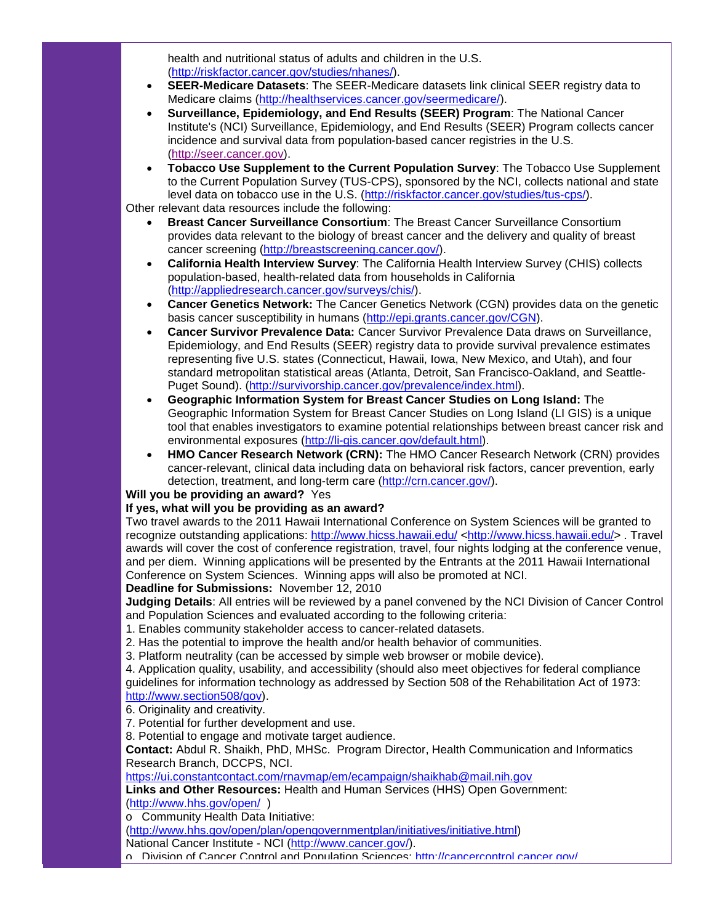health and nutritional status of adults and children in the U.S. [\(http://riskfactor.cancer.gov/studies/nhanes/\)](http://r20.rs6.net/tn.jsp?llr=5gytkqcab&et=1103757641324&s=1&e=001-tkSpkuRugA9C2RBDvpfrx0fQFl9Ym0dhT1kocHY3bdAapqDOkAwGDapeqOppjoXLAWoULY2ZGC8yR1_T2AiIWszdsOYrcShkC-8XYypJtRh0KiCHYaDRSfVp0XWuYYLW7cdq_xT6J4=).

- **SEER-Medicare Datasets**: The SEER-Medicare datasets link clinical SEER registry data to Medicare claims [\(http://healthservices.cancer.gov/seermedicare/\)](http://r20.rs6.net/tn.jsp?llr=5gytkqcab&et=1103757641324&s=1&e=001-tkSpkuRugBGcMVmVdX2WOewxLut4RDD5VUtCC5uQkY1XeLUmpL83QiypT4Q8fhpCTBm4SejtoVCPmYmV4i2oFemgMDpG_TWDKGgNnSQeuynySFXj7E83o1TfjWeIFIPceyTIAJNYD8=).
- **Surveillance, Epidemiology, and End Results (SEER) Program**: The National Cancer Institute's (NCI) Surveillance, Epidemiology, and End Results (SEER) Program collects cancer incidence and survival data from population-based cancer registries in the U.S. [\(http://seer.cancer.gov\)](http://r20.rs6.net/tn.jsp?llr=5gytkqcab&et=1103757641324&s=1&e=001-tkSpkuRugCHwONpXZfcsaypLuKhgquK0HpFZKUcJObTThdNagq7MRI96oQ2ca4dYGMxXRxq7Po7Dtu2FXT732tdOzzsWiT_JkjQfdqKzmE=).
- **Tobacco Use Supplement to the Current Population Survey**: The Tobacco Use Supplement to the Current Population Survey (TUS-CPS), sponsored by the NCI, collects national and state level data on tobacco use in the U.S. [\(http://riskfactor.cancer.gov/studies/tus-cps/\)](http://r20.rs6.net/tn.jsp?llr=5gytkqcab&et=1103757641324&s=1&e=001-tkSpkuRugBx2mE7hgKPa09NtPtKYP3lxKchKL9A5tbkdN3N0ZVKHTfa3GrqAZue8l5RU4p2uGDNe4MrPKlKuZ4PvwTw680Hpz7zgNFYndBnJXN1vYzbi7MHuJPU54sJJQi1c4a5PGoHsjhNHbOK0w==).

Other relevant data resources include the following:

- **Breast Cancer Surveillance Consortium**: The Breast Cancer Surveillance Consortium provides data relevant to the biology of breast cancer and the delivery and quality of breast cancer screening [\(http://breastscreening.cancer.gov/\)](http://r20.rs6.net/tn.jsp?llr=5gytkqcab&et=1103757641324&s=1&e=001-tkSpkuRugDFu1AzYxmHeJ68KPx9P86-5d5MioOyDMM1n-sNZBTGi7WJPiNHy7-ijIP268SSG24-ioIYuaSbUOdHyOp7ZOTmRqBcPk-cq167Eswbb_y0FURxDmSLwWkj).
- **California Health Interview Survey**: The California Health Interview Survey (CHIS) collects population-based, health-related data from households in California [\(http://appliedresearch.cancer.gov/surveys/chis/\)](http://r20.rs6.net/tn.jsp?llr=5gytkqcab&et=1103757641324&s=1&e=001-tkSpkuRugBjnCLMDqPPCQmYh2jQm1DXyEzO_ZEGCtruTFBD-G9_okjxy1L7zgz8U5qYcbpRDuZNM89cB1NIJH-e4s4I-uqN-ONU7AyWBZLMXUU77t4-Vi07hVA08eXX0JfCs_X4MyNHrryDRvUlhg==).
- **Cancer Genetics Network:** The Cancer Genetics Network (CGN) provides data on the genetic basis cancer susceptibility in humans [\(http://epi.grants.cancer.gov/CGN\)](http://r20.rs6.net/tn.jsp?llr=5gytkqcab&et=1103757641324&s=1&e=001-tkSpkuRugAwPYMoRRv08CMIU54y-MW1QgoOgf9bqB6jSs9jXCHmIm9h5NjmQEf7pu9jLt4FKRjbEbU3M51H-MEq-aAZaqe93VbLFFIvDx572RK6yplTcw==).
- **Cancer Survivor Prevalence Data:** Cancer Survivor Prevalence Data draws on Surveillance, Epidemiology, and End Results (SEER) registry data to provide survival prevalence estimates representing five U.S. states (Connecticut, Hawaii, Iowa, New Mexico, and Utah), and four standard metropolitan statistical areas (Atlanta, Detroit, San Francisco-Oakland, and Seattle-Puget Sound). [\(http://survivorship.cancer.gov/prevalence/index.html\)](http://r20.rs6.net/tn.jsp?llr=5gytkqcab&et=1103757641324&s=1&e=001-tkSpkuRugCbeWCDMyFCxcA1PCRka2Hbf7YiNFq_LFRuidI683E9H1-o-jfJ7etmUGzm9anLcQFyfF8-pc-QOo1lXYCDY5qESC_0HMGoSlIsUXyBRABOhTLUlytq6s9kMtA1_bn05L5VHYxUwmFmDg==).
- **Geographic Information System for Breast Cancer Studies on Long Island:** The Geographic Information System for Breast Cancer Studies on Long Island (LI GIS) is a unique tool that enables investigators to examine potential relationships between breast cancer risk and environmental exposures [\(http://li-gis.cancer.gov/default.html\)](http://r20.rs6.net/tn.jsp?llr=5gytkqcab&et=1103757641324&s=1&e=001-tkSpkuRugCGepmlsFjGGD_PmozVt7ZoLHUSyLmhXDDab4uLeKz5t9dzHvOOVX6TMeKxmq3DtMNrid6kQJ18l_Qt2bKgELNVELnofQ1mlHmiKJRzouz6hEnK9HQPe20u).
- **HMO Cancer Research Network (CRN):** The HMO Cancer Research Network (CRN) provides cancer-relevant, clinical data including data on behavioral risk factors, cancer prevention, early detection, treatment, and long-term care [\(http://crn.cancer.gov/\)](http://r20.rs6.net/tn.jsp?llr=5gytkqcab&et=1103757641324&s=1&e=001-tkSpkuRugAkYu1cqP518S96NA1HgppoaYeDlMkOxVbjb7EqK6yZBARStjAfFO_ZoWe5DJSfXYgGZt3bXqeaw1Hg62RIjdn1_WXoYKDOx2g=).

**Will you be providing an award?** Yes

## **If yes, what will you be providing as an award?**

Two travel awards to the 2011 Hawaii International Conference on System Sciences will be granted to recognize outstanding applications: [http://www.hicss.hawaii.edu/](http://r20.rs6.net/tn.jsp?llr=5gytkqcab&et=1103757641324&s=1&e=001-tkSpkuRugBTedIG1g8YQFztd3U0utf9k-EKlrlgT7IWvEEkABGkd8Vgp6yMZfKnKC-OrNicOFMdR4h2O1oB6gDwv-A2GUxJY9SnCcWZY4c5EnxsSlqDEw==) [<http://www.hicss.hawaii.edu/>](http://r20.rs6.net/tn.jsp?llr=5gytkqcab&et=1103757641324&s=1&e=001-tkSpkuRugBTedIG1g8YQFztd3U0utf9k-EKlrlgT7IWvEEkABGkd8Vgp6yMZfKnKC-OrNicOFMdR4h2O1oB6gDwv-A2GUxJY9SnCcWZY4c5EnxsSlqDEw==) . Travel awards will cover the cost of conference registration, travel, four nights lodging at the conference venue, and per diem. Winning applications will be presented by the Entrants at the 2011 Hawaii International Conference on System Sciences. Winning apps will also be promoted at NCI. **Deadline for Submissions:** November 12, 2010

**Judging Details**: All entries will be reviewed by a panel convened by the NCI Division of Cancer Control and Population Sciences and evaluated according to the following criteria:

1. Enables community stakeholder access to cancer-related datasets.

2. Has the potential to improve the health and/or health behavior of communities.

3. Platform neutrality (can be accessed by simple web browser or mobile device).

4. Application quality, usability, and accessibility (should also meet objectives for federal compliance guidelines for information technology as addressed by Section 508 of the Rehabilitation Act of 1973: [http://www.section508/gov\)](http://r20.rs6.net/tn.jsp?llr=5gytkqcab&et=1103757641324&s=1&e=001-tkSpkuRugCyUTNag0586jG20jyg2Fpktflpo526Zo1KL0_lj4t--euF9gEG9wz_BV9Wkf-mtWmlKvEYQd17vHAl5Ge-PqZgUMlqvAmQ5hDmCW9WHBP4bA==).

6. Originality and creativity.

7. Potential for further development and use.

8. Potential to engage and motivate target audience.

**Contact:** Abdul R. Shaikh, PhD, MHSc. Program Director, Health Communication and Informatics Research Branch, DCCPS, NCI.

<https://ui.constantcontact.com/rnavmap/em/ecampaign/shaikhab@mail.nih.gov>

**Links and Other Resources:** Health and Human Services (HHS) Open Government:

[\(http://www.hhs.gov/open/](http://r20.rs6.net/tn.jsp?llr=5gytkqcab&et=1103757641324&s=1&e=001-tkSpkuRugBL3JmcT9-WYAVTjgoHTrjBrTjy9INQ2n3sruLrbWhSfZHusw9Bnvmtj1kPb00ZsB5v5RvaQ_1FMwdO4KKPRvxTRAUWfXgpaaMWrrwyaMYBcQ==) )

o Community Health Data Initiative:

[\(http://www.hhs.gov/open/plan/opengovernmentplan/initiatives/initiative.html\)](http://r20.rs6.net/tn.jsp?llr=5gytkqcab&et=1103757641324&s=1&e=001-tkSpkuRugCxXXmDP5AkrVDyLcHuesVQ1Q6HY8HZAQ9XpUBI1NPrkndngIXXyOx02DfQdGAhAZOBLZHZuuRnJyWcC-O4NxHjDt0Bx_jWWlmz04S1yjRzOgeqp00_N9HJFG3gMfH1x9F-Q2ftd2l2nGWQ1jesIyK0hr7hEhF9nCCowUpOCJaANz35sGEz74Uc)

National Cancer Institute - NCI [\(http://www.cancer.gov/\)](http://r20.rs6.net/tn.jsp?llr=5gytkqcab&et=1103757641324&s=1&e=001-tkSpkuRugBZJWMXKIt8HOrmxUyEROhx9r3-oeH5simJS7qG8ebgsHM9DA76aSgblj6M3KhGoknBMFhm0muObqPIY5-2XdQi77ptINcY3M8=).

o Division of Cancer Control and Population Sciences: [http://cancercontrol.cancer.gov/](http://r20.rs6.net/tn.jsp?llr=5gytkqcab&et=1103757641324&s=1&e=001-tkSpkuRugAXWSnJMTJ5NC1fK1rmjdky18ssdpk8kUbD5z03zrb8gZzbaDGFlV608fD1c3i7fHRYXCRGOvdadrHZeWJZW20P6TDjOIYIwEjDYeyYQA53NQ==)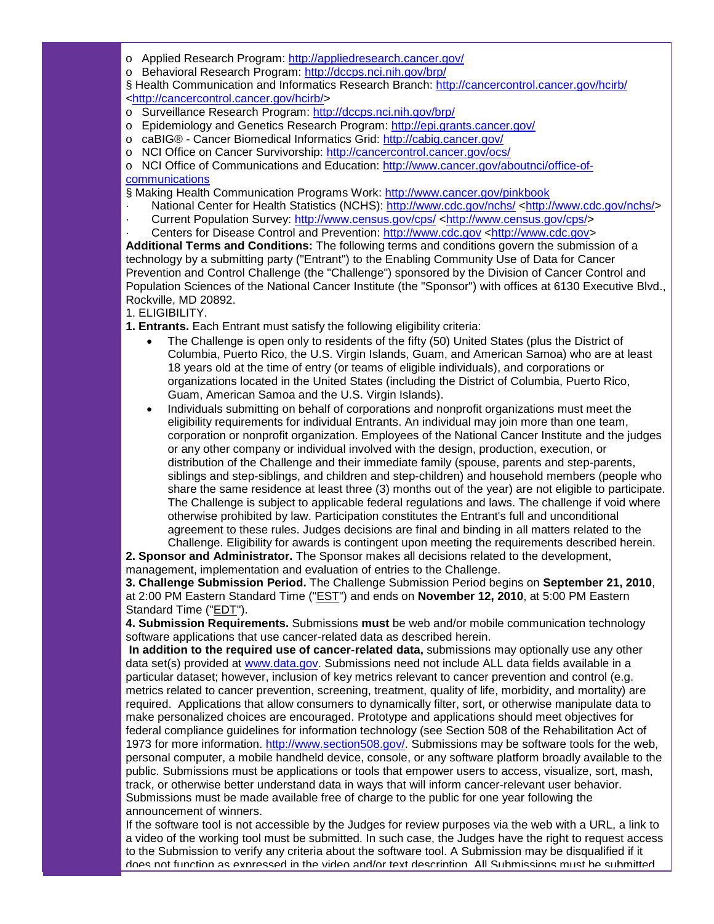- o Applied Research Program: [http://appliedresearch.cancer.gov/](http://r20.rs6.net/tn.jsp?llr=5gytkqcab&et=1103757641324&s=1&e=001-tkSpkuRugD77PxG30dIyby-kiq09fbdBNM78oTrvbRCgnFcFZ52h0gzZnc1za8BsAqGRpOWa5jf8wE4BtOYDQleuiVFSHHDB7ij9wEJpLkQ1GEvyDrmA9so2E0Wm2NG)
- o Behavioral Research Program: [http://dccps.nci.nih.gov/brp/](http://r20.rs6.net/tn.jsp?llr=5gytkqcab&et=1103757641324&s=1&e=001-tkSpkuRugBdUOuci3tulJh0162N8XqdJ9mG4_yoSlRbZJBKOpRvh5C-UllUtD2F51Ypvo5In-ye691SRevO2RpB-BCkpYs3BJlxfDl_f79pNFknVAALLQ==)

§ Health Communication and Informatics Research Branch: [http://cancercontrol.cancer.gov/hcirb/](http://r20.rs6.net/tn.jsp?llr=5gytkqcab&et=1103757641324&s=1&e=001-tkSpkuRugAajq3uxNb0h0N7HWcAMMhbHURPoTyLZmPMXU3udgzhwV44nQY--0cvNkMnEYD3kIpsT8_6cyH-HNTSAao-SwK2HaZ1PNauA0xt2jMYvlLH4Kd5nZ6yJhLp) [<http://cancercontrol.cancer.gov/hcirb/>](http://r20.rs6.net/tn.jsp?llr=5gytkqcab&et=1103757641324&s=1&e=001-tkSpkuRugAajq3uxNb0h0N7HWcAMMhbHURPoTyLZmPMXU3udgzhwV44nQY--0cvNkMnEYD3kIpsT8_6cyH-HNTSAao-SwK2HaZ1PNauA0xt2jMYvlLH4Kd5nZ6yJhLp)

- o Surveillance Research Program: [http://dccps.nci.nih.gov/brp/](http://r20.rs6.net/tn.jsp?llr=5gytkqcab&et=1103757641324&s=1&e=001-tkSpkuRugBdUOuci3tulJh0162N8XqdJ9mG4_yoSlRbZJBKOpRvh5C-UllUtD2F51Ypvo5In-ye691SRevO2RpB-BCkpYs3BJlxfDl_f79pNFknVAALLQ==)
- o Epidemiology and Genetics Research Program: [http://epi.grants.cancer.gov/](http://r20.rs6.net/tn.jsp?llr=5gytkqcab&et=1103757641324&s=1&e=001-tkSpkuRugDIsPnBT11bmxqmQg8TftzqEmL_2bqlNcgmFy2i9fQJ9fOlwBHKPVbUe1KKz1y1vFUA372CjvjcW9koSXxrF0QjWhg42lIKaS8mHTbaIOLY4g==)
- o caBIG® Cancer Biomedical Informatics Grid: [http://cabig.cancer.gov/](http://r20.rs6.net/tn.jsp?llr=5gytkqcab&et=1103757641324&s=1&e=001-tkSpkuRugBdVihFcOex4KpO4WaD8nkQb8k1xa0k5IQsLaxOnY-XmmjPJDg-VQIGa3M7O0Y6CS5-3E9plh2J3cwSAlXyRjgjPMr15L-w_6Y=)
- o NCI Office on Cancer Survivorship: [http://cancercontrol.cancer.gov/ocs/](http://r20.rs6.net/tn.jsp?llr=5gytkqcab&et=1103757641324&s=1&e=001-tkSpkuRugBMHuBwjtMi4CBTEShCkXaLgk5CsPd3spsTeAbTCADJKpTSJfx_P3LqOxj9gZlGV9BN_9oLdVQdKlLNugbafBckj7shnsTJVG758vzgmQyjD__ZxfFXHSd1)

o NCI Office of Communications and Education: [http://www.cancer.gov/aboutnci/office-of](http://r20.rs6.net/tn.jsp?llr=5gytkqcab&et=1103757641324&s=1&e=001-tkSpkuRugCZJmvW_KTjQob5m8XAzCpHDfZi9DoTr_dHSXJdtuSPnqZLyDe8MO6IpwNPvGrQBC2Czn78kdyCoaaSTyCeYy-Hv7JYOffjWmQxWz6N1LxFdx0j_DXN-ecxYlOf9JXnVtkO10zWX1sQZyF2qY0BXFIo)[communications](http://r20.rs6.net/tn.jsp?llr=5gytkqcab&et=1103757641324&s=1&e=001-tkSpkuRugCZJmvW_KTjQob5m8XAzCpHDfZi9DoTr_dHSXJdtuSPnqZLyDe8MO6IpwNPvGrQBC2Czn78kdyCoaaSTyCeYy-Hv7JYOffjWmQxWz6N1LxFdx0j_DXN-ecxYlOf9JXnVtkO10zWX1sQZyF2qY0BXFIo)

§ Making Health Communication Programs Work: [http://www.cancer.gov/pinkbook](http://r20.rs6.net/tn.jsp?llr=5gytkqcab&et=1103757641324&s=1&e=001-tkSpkuRugA9kp0VVDpTq8uTqOBzezBpufdivAWInWz1IeNY4B67NnFGcDPsSk7hPN_Eh5tzWs8Niy0q3sScC7v1lm-X903RB4uobamXrZ8ZjiWwkrA1bA==)

- · National Center for Health Statistics (NCHS): [http://www.cdc.gov/nchs/](http://r20.rs6.net/tn.jsp?llr=5gytkqcab&et=1103757641324&s=1&e=001-tkSpkuRugAQfAb_FA74bA8XgHCxBlCDiPqFvHrdemUDRfn4mLpNa0-dNS8csFiDrft4Bd92_7mN27cwATVA2Nf5hjUCcBbSwp50e6dTEFRxspS4XnyuSQ==) [<http://www.cdc.gov/nchs/>](http://r20.rs6.net/tn.jsp?llr=5gytkqcab&et=1103757641324&s=1&e=001-tkSpkuRugAQfAb_FA74bA8XgHCxBlCDiPqFvHrdemUDRfn4mLpNa0-dNS8csFiDrft4Bd92_7mN27cwATVA2Nf5hjUCcBbSwp50e6dTEFRxspS4XnyuSQ==)
- · Current Population Survey: [http://www.census.gov/cps/](http://r20.rs6.net/tn.jsp?llr=5gytkqcab&et=1103757641324&s=1&e=001-tkSpkuRugBKe0hdRlHyreVct9qFejpoDc5YLSUg_AfRU1bmdmMTcantJ3zp0awgWjSg7jA0s302XNDjCY7SqfI9lMwzGxNLSDlDtc9-yVOArTdNBl4Ulw==) [<http://www.census.gov/cps/>](http://r20.rs6.net/tn.jsp?llr=5gytkqcab&et=1103757641324&s=1&e=001-tkSpkuRugBKe0hdRlHyreVct9qFejpoDc5YLSUg_AfRU1bmdmMTcantJ3zp0awgWjSg7jA0s302XNDjCY7SqfI9lMwzGxNLSDlDtc9-yVOArTdNBl4Ulw==)
- · Centers for Disease Control and Prevention: [http://www.cdc.gov](http://r20.rs6.net/tn.jsp?llr=5gytkqcab&et=1103757641324&s=1&e=001-tkSpkuRugAG2LWzbPDnQ_YF23PjQFrmGOfb30Q_v6zFSTrnWTQpHRW57-SXNa8pPgX3Kh5lTj6urAT6yZtBhTjkqc6-AkzNyChvAurfX5Q=) [<http://www.cdc.gov>](http://r20.rs6.net/tn.jsp?llr=5gytkqcab&et=1103757641324&s=1&e=001-tkSpkuRugAG2LWzbPDnQ_YF23PjQFrmGOfb30Q_v6zFSTrnWTQpHRW57-SXNa8pPgX3Kh5lTj6urAT6yZtBhTjkqc6-AkzNyChvAurfX5Q=)

**Additional Terms and Conditions:** The following terms and conditions govern the submission of a technology by a submitting party ("Entrant") to the Enabling Community Use of Data for Cancer Prevention and Control Challenge (the "Challenge") sponsored by the Division of Cancer Control and Population Sciences of the National Cancer Institute (the "Sponsor") with offices at 6130 Executive Blvd., Rockville, MD 20892.

- 1. ELIGIBILITY.
- **1. Entrants.** Each Entrant must satisfy the following eligibility criteria:
	- The Challenge is open only to residents of the fifty (50) United States (plus the District of Columbia, Puerto Rico, the U.S. Virgin Islands, Guam, and American Samoa) who are at least 18 years old at the time of entry (or teams of eligible individuals), and corporations or organizations located in the United States (including the District of Columbia, Puerto Rico, Guam, American Samoa and the U.S. Virgin Islands).
	- Individuals submitting on behalf of corporations and nonprofit organizations must meet the eligibility requirements for individual Entrants. An individual may join more than one team, corporation or nonprofit organization. Employees of the National Cancer Institute and the judges or any other company or individual involved with the design, production, execution, or distribution of the Challenge and their immediate family (spouse, parents and step-parents, siblings and step-siblings, and children and step-children) and household members (people who share the same residence at least three (3) months out of the year) are not eligible to participate. The Challenge is subject to applicable federal regulations and laws. The challenge if void where otherwise prohibited by law. Participation constitutes the Entrant's full and unconditional agreement to these rules. Judges decisions are final and binding in all matters related to the Challenge. Eligibility for awards is contingent upon meeting the requirements described herein.

**2. Sponsor and Administrator.** The Sponsor makes all decisions related to the development, management, implementation and evaluation of entries to the Challenge.

**3. Challenge Submission Period.** The Challenge Submission Period begins on **September 21, 2010**, at 2:00 PM Eastern Standard Time ("EST") and ends on **November 12, 2010**, at 5:00 PM Eastern Standard Time ("EDT").

**4. Submission Requirements.** Submissions **must** be web and/or mobile communication technology software applications that use cancer-related data as described herein.

**In addition to the required use of cancer-related data,** submissions may optionally use any other data set(s) provided at [www.data.gov.](http://r20.rs6.net/tn.jsp?llr=5gytkqcab&et=1103757641324&s=1&e=001-tkSpkuRugB-PmN0iupGHwATSWOaada03fdtZ2DSGa0S0_HOF8SVJKWvVO-bMJZPv12Rbxdd-5LbgBa-1j4rm22fCxR7LMOkMYEOMAGjHjI=) Submissions need not include ALL data fields available in a particular dataset; however, inclusion of key metrics relevant to cancer prevention and control (e.g. metrics related to cancer prevention, screening, treatment, quality of life, morbidity, and mortality) are required. Applications that allow consumers to dynamically filter, sort, or otherwise manipulate data to make personalized choices are encouraged. Prototype and applications should meet objectives for federal compliance guidelines for information technology (see Section 508 of the Rehabilitation Act of 1973 for more information. [http://www.section508.gov/.](http://r20.rs6.net/tn.jsp?llr=5gytkqcab&et=1103757641324&s=1&e=001-tkSpkuRugBZeSsvSpWRle9OwwneVvUIEFfdA66zLpjGbczsBQ4rvVjDJr4hoClQy5EDaVtY61D02O1DbIon5WB3ntRG_mc_AwtmUl7lFhnMdHVDK1HJ7Q==) Submissions may be software tools for the web, personal computer, a mobile handheld device, console, or any software platform broadly available to the public. Submissions must be applications or tools that empower users to access, visualize, sort, mash, track, or otherwise better understand data in ways that will inform cancer-relevant user behavior. Submissions must be made available free of charge to the public for one year following the announcement of winners.

If the software tool is not accessible by the Judges for review purposes via the web with a URL, a link to a video of the working tool must be submitted. In such case, the Judges have the right to request access to the Submission to verify any criteria about the software tool. A Submission may be disqualified if it does not function as expressed in the video and/or text description. All Submissions must be submitted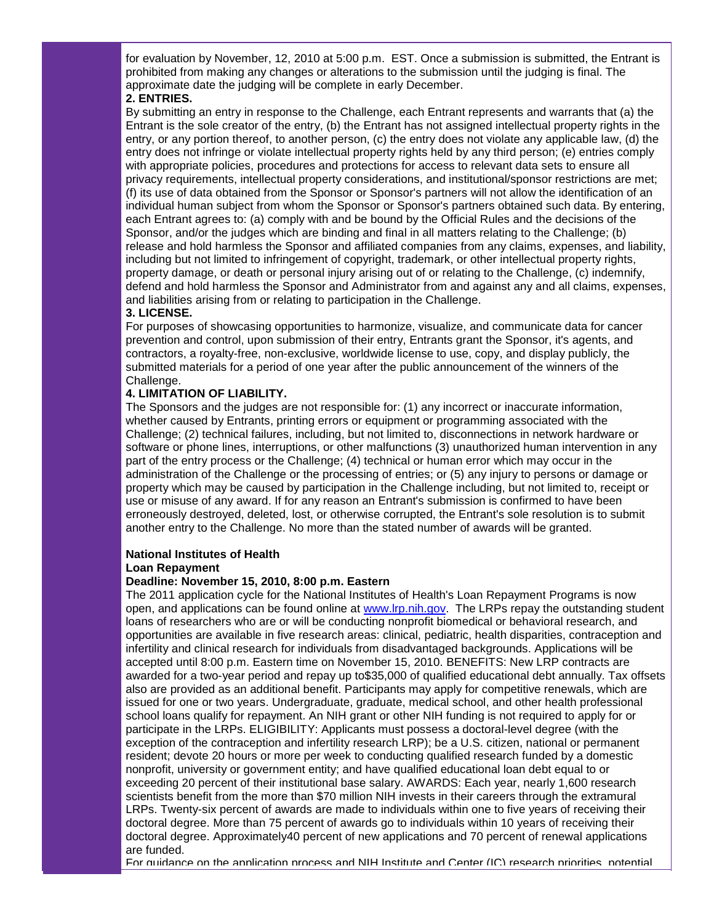for evaluation by November, 12, 2010 at 5:00 p.m. EST. Once a submission is submitted, the Entrant is prohibited from making any changes or alterations to the submission until the judging is final. The approximate date the judging will be complete in early December.

## **2. ENTRIES.**

By submitting an entry in response to the Challenge, each Entrant represents and warrants that (a) the Entrant is the sole creator of the entry, (b) the Entrant has not assigned intellectual property rights in the entry, or any portion thereof, to another person, (c) the entry does not violate any applicable law, (d) the entry does not infringe or violate intellectual property rights held by any third person; (e) entries comply with appropriate policies, procedures and protections for access to relevant data sets to ensure all privacy requirements, intellectual property considerations, and institutional/sponsor restrictions are met; (f) its use of data obtained from the Sponsor or Sponsor's partners will not allow the identification of an individual human subject from whom the Sponsor or Sponsor's partners obtained such data. By entering, each Entrant agrees to: (a) comply with and be bound by the Official Rules and the decisions of the Sponsor, and/or the judges which are binding and final in all matters relating to the Challenge; (b) release and hold harmless the Sponsor and affiliated companies from any claims, expenses, and liability, including but not limited to infringement of copyright, trademark, or other intellectual property rights, property damage, or death or personal injury arising out of or relating to the Challenge, (c) indemnify, defend and hold harmless the Sponsor and Administrator from and against any and all claims, expenses, and liabilities arising from or relating to participation in the Challenge.

#### **3. LICENSE.**

For purposes of showcasing opportunities to harmonize, visualize, and communicate data for cancer prevention and control, upon submission of their entry, Entrants grant the Sponsor, it's agents, and contractors, a royalty-free, non-exclusive, worldwide license to use, copy, and display publicly, the submitted materials for a period of one year after the public announcement of the winners of the Challenge.

## **4. LIMITATION OF LIABILITY.**

The Sponsors and the judges are not responsible for: (1) any incorrect or inaccurate information, whether caused by Entrants, printing errors or equipment or programming associated with the Challenge; (2) technical failures, including, but not limited to, disconnections in network hardware or software or phone lines, interruptions, or other malfunctions (3) unauthorized human intervention in any part of the entry process or the Challenge; (4) technical or human error which may occur in the administration of the Challenge or the processing of entries; or (5) any injury to persons or damage or property which may be caused by participation in the Challenge including, but not limited to, receipt or use or misuse of any award. If for any reason an Entrant's submission is confirmed to have been erroneously destroyed, deleted, lost, or otherwise corrupted, the Entrant's sole resolution is to submit another entry to the Challenge. No more than the stated number of awards will be granted.

## **National Institutes of Health**

#### **Loan Repayment**

## **Deadline: November 15, 2010, 8:00 p.m. Eastern**

The 2011 application cycle for the National Institutes of Health's Loan Repayment Programs is now open, and applications can be found online at [www.lrp.nih.gov.](http://r20.rs6.net/tn.jsp?llr=5gytkqcab&et=1103757641324&s=1&e=001-tkSpkuRugBQNeaHeNTepinyfKjI1LsbwZgvYObDamcW3MnUrSxujjM-j7xFTobzTCkr-zid6i3aBGBbPko_rdd-djDs-Q2alOmiVeClf8g=) The LRPs repay the outstanding student loans of researchers who are or will be conducting nonprofit biomedical or behavioral research, and opportunities are available in five research areas: clinical, pediatric, health disparities, contraception and infertility and clinical research for individuals from disadvantaged backgrounds. Applications will be accepted until 8:00 p.m. Eastern time on November 15, 2010. BENEFITS: New LRP contracts are awarded for a two-year period and repay up to\$35,000 of qualified educational debt annually. Tax offsets also are provided as an additional benefit. Participants may apply for competitive renewals, which are issued for one or two years. Undergraduate, graduate, medical school, and other health professional school loans qualify for repayment. An NIH grant or other NIH funding is not required to apply for or participate in the LRPs. ELIGIBILITY: Applicants must possess a doctoral-level degree (with the exception of the contraception and infertility research LRP); be a U.S. citizen, national or permanent resident; devote 20 hours or more per week to conducting qualified research funded by a domestic nonprofit, university or government entity; and have qualified educational loan debt equal to or exceeding 20 percent of their institutional base salary. AWARDS: Each year, nearly 1,600 research scientists benefit from the more than \$70 million NIH invests in their careers through the extramural LRPs. Twenty-six percent of awards are made to individuals within one to five years of receiving their doctoral degree. More than 75 percent of awards go to individuals within 10 years of receiving their doctoral degree. Approximately40 percent of new applications and 70 percent of renewal applications are funded.

For guidance on the application process and NIH Institute and Center (IC) research priorities, potential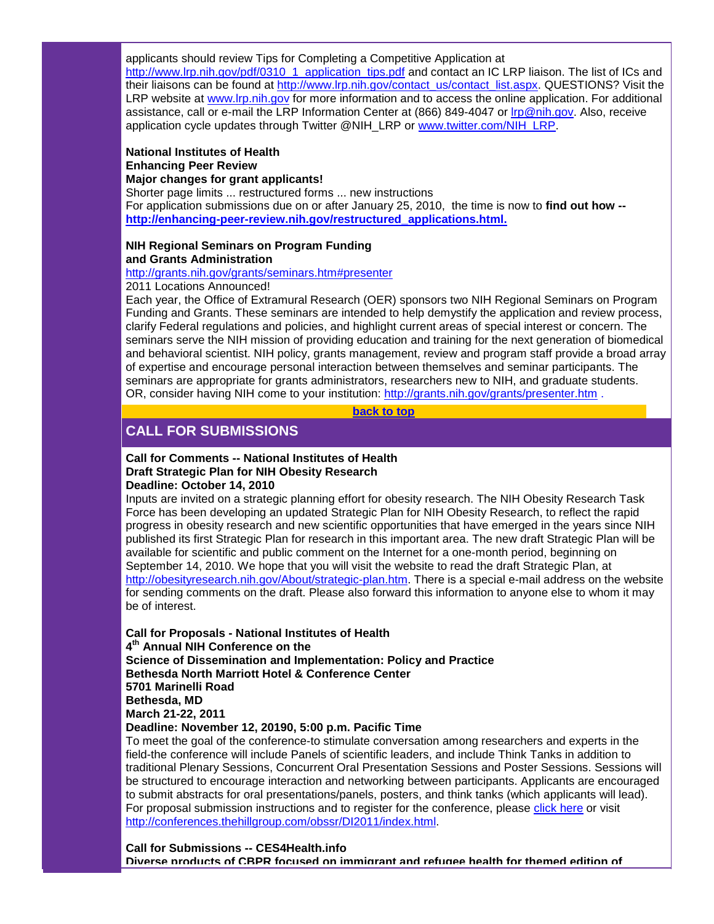applicants should review Tips for Completing a Competitive Application at

[http://www.lrp.nih.gov/pdf/0310\\_1\\_application\\_tips.pdf](http://r20.rs6.net/tn.jsp?llr=5gytkqcab&et=1103757641324&s=1&e=001-tkSpkuRugBKZdiCMWwtk71WjJyYXUaaYQTfQQan8g1-SbeQWgUuI41ZWzaIgqsghjT3Q980_8xzUmCO49VwXMF1Uty2QQfkCsuRnv8A9GudfYebtPdWuFxY7kH31FvKku4Kigi5JX6Bw9hSJPO_rA==) and contact an IC LRP liaison. The list of ICs and their liaisons can be found at [http://www.lrp.nih.gov/contact\\_us/contact\\_list.aspx.](http://r20.rs6.net/tn.jsp?llr=5gytkqcab&et=1103757641324&s=1&e=001-tkSpkuRugAyJeAIOPzUyzNsJ_iGHcLG2TN1ryoCl3YhZiqBa9V-vq0XHNpPCD9rr-mjV5L50wnOU57cXHErKJBB3vmQq4AkjoEQiUVbeTkcYCosLYIUsj4M8GAQq4G-mvZBB_uNQe1URZYdmrrHXw==) QUESTIONS? Visit the LRP website at [www.lrp.nih.gov](http://r20.rs6.net/tn.jsp?llr=5gytkqcab&et=1103757641324&s=1&e=001-tkSpkuRugBQNeaHeNTepinyfKjI1LsbwZgvYObDamcW3MnUrSxujjM-j7xFTobzTCkr-zid6i3aBGBbPko_rdd-djDs-Q2alOmiVeClf8g=) for more information and to access the online application. For additional assistance, call or e-mail the LRP Information Center at (866) 849-4047 or [lrp@nih.gov.](mailto:lrp@nih.gov) Also, receive application cycle updates through Twitter @NIH\_LRP or [www.twitter.com/NIH\\_LRP.](http://r20.rs6.net/tn.jsp?llr=5gytkqcab&et=1103757641324&s=1&e=001-tkSpkuRugBCRDhLvXxzT5kshLfPWVbaNljIi1mkfgnNzhbTsyTOSGUaN0PHpWlJ4aCHXsjDpmFDk_NtiInPbl4lM7b4sJeTzGJLC8Aqf_hayEXN4HHvXg==)

#### **National Institutes of Health Enhancing Peer Review Major changes for grant applicants!**

Shorter page limits ... restructured forms ... new instructions For application submissions due on or after January 25, 2010, the time is now to **find out how - [http://enhancing-peer-review.nih.gov/restructured\\_applications.html.](http://r20.rs6.net/tn.jsp?llr=5gytkqcab&et=1103757641324&s=1&e=001-tkSpkuRugAlVUtPjcXOOSunR9iIHgK_vCajKeq3HbNXXP0fyM6ULE3FYVyDidVt7oWK8wj6N6Jis9U8IPwXEwcR4D62s20WNSG8qgl5GgZmFOawP0OfflaAvfuGFbBlfO38zh9pfKufwEqHhI7SupcR4Fycb_yniRJT86WFgLs=)**

## **NIH Regional Seminars on Program Funding and Grants Administration**

[http://grants.nih.gov/grants/seminars.htm#presenter](http://r20.rs6.net/tn.jsp?llr=5gytkqcab&et=1103757641324&s=1&e=001-tkSpkuRugB5fODNM7zI3yYrIbgC2IWZdq6ct0BXlmr13iZ65IPOBsVIIjgjd1_3FR4XLccA9vXCQ026gdFVd9p-RltDwMyid3zi93LRAMCnA6ssyK_raUr4Nh_6_LtRTcygCAkQozQA-_WOmmXIxg==)

2011 Locations Announced!

Each year, the Office of Extramural Research (OER) sponsors two NIH Regional Seminars on Program Funding and Grants. These seminars are intended to help demystify the application and review process, clarify Federal regulations and policies, and highlight current areas of special interest or concern. The seminars serve the NIH mission of providing education and training for the next generation of biomedical and behavioral scientist. NIH policy, grants management, review and program staff provide a broad array of expertise and encourage personal interaction between themselves and seminar participants. The seminars are appropriate for grants administrators, researchers new to NIH, and graduate students. OR, consider having NIH come to your institution: [http://grants.nih.gov/grants/presenter.htm](http://r20.rs6.net/tn.jsp?llr=5gytkqcab&et=1103757641324&s=1&e=001-tkSpkuRugCOVeofjLHrEoqm7sZ5pQWVSN4nydVUNY3CiftH1PrVqLz41Y_9eR5_XnEQVHKoF1fr2Lh2prE_ZW6sV9ctGpGb-__jvwk8zXnnPw-tooHybuUpdA90QZe7wnOAUGnaJDk=) .

**[back to top](#page-0-2)**

## <span id="page-7-0"></span>**CALL FOR SUBMISSIONS**

## **Call for Comments -- National Institutes of Health Draft Strategic Plan for NIH Obesity Research**

**Deadline: October 14, 2010**

Inputs are invited on a strategic planning effort for obesity research. The NIH Obesity Research Task Force has been developing an updated Strategic Plan for NIH Obesity Research, to reflect the rapid progress in obesity research and new scientific opportunities that have emerged in the years since NIH published its first Strategic Plan for research in this important area. The new draft Strategic Plan will be available for scientific and public comment on the Internet for a one-month period, beginning on September 14, 2010. We hope that you will visit the website to read the draft Strategic Plan, at [http://obesityresearch.nih.gov/About/strategic-plan.htm.](http://r20.rs6.net/tn.jsp?llr=5gytkqcab&et=1103757641324&s=1&e=001-tkSpkuRugAlyfK1UxAkJBm72wZFoPvZ7PPq11VfYTMe9uEJ4KlWpzKvSsoGyeSKQSp0FZHthqrl6IgNrPqyxOzsqk6WnItv1-eQstOejVC2fySAAVvrPf7Y5i_iFP_ZEpY6WwhXaWz5uaTyUzJRXfNtnI7AIk9t) There is a special e-mail address on the website for sending comments on the draft. Please also forward this information to anyone else to whom it may be of interest.

**Call for Proposals - National Institutes of Health 4th Annual NIH Conference on the Science of Dissemination and Implementation: Policy and Practice Bethesda North Marriott Hotel & Conference Center 5701 Marinelli Road Bethesda, MD March 21-22, 2011 Deadline: November 12, 20190, 5:00 p.m. Pacific Time**

To meet the goal of the conference-to stimulate conversation among researchers and experts in the field-the conference will include Panels of scientific leaders, and include Think Tanks in addition to traditional Plenary Sessions, Concurrent Oral Presentation Sessions and Poster Sessions. Sessions will be structured to encourage interaction and networking between participants. Applicants are encouraged to submit abstracts for oral presentations/panels, posters, and think tanks (which applicants will lead). For proposal submission instructions and to register for the conference, please [click here](http://r20.rs6.net/tn.jsp?llr=5gytkqcab&et=1103757641324&s=1&e=001-tkSpkuRugCJGg1Uep_ixG7a0vSLyovUg5nogFQLUD-hpFHnbnupP9qHImaSe2hYMtrTTH6vV2eHgo2MKD2GWQ6iuhEnr4bprtmvXzlBY6NpDf2QHVgJpKp-7XWM5l6MTtdQ-tab8o0jZ35v2iyjuzaVjWP66tO-) or visit [http://conferences.thehillgroup.com/obssr/DI2011/index.html.](http://r20.rs6.net/tn.jsp?llr=5gytkqcab&et=1103757641324&s=1&e=001-tkSpkuRugCJGg1Uep_ixG7a0vSLyovUg5nogFQLUD-hpFHnbnupP9qHImaSe2hYMtrTTH6vV2eHgo2MKD2GWQ6iuhEnr4bprtmvXzlBY6NpDf2QHVgJpKp-7XWM5l6MTtdQ-tab8o0jZ35v2iyjuzaVjWP66tO-)

**Call for Submissions -- CES4Health.info Diverse products of CBPR focused on immigrant and refugee health for themed edition of**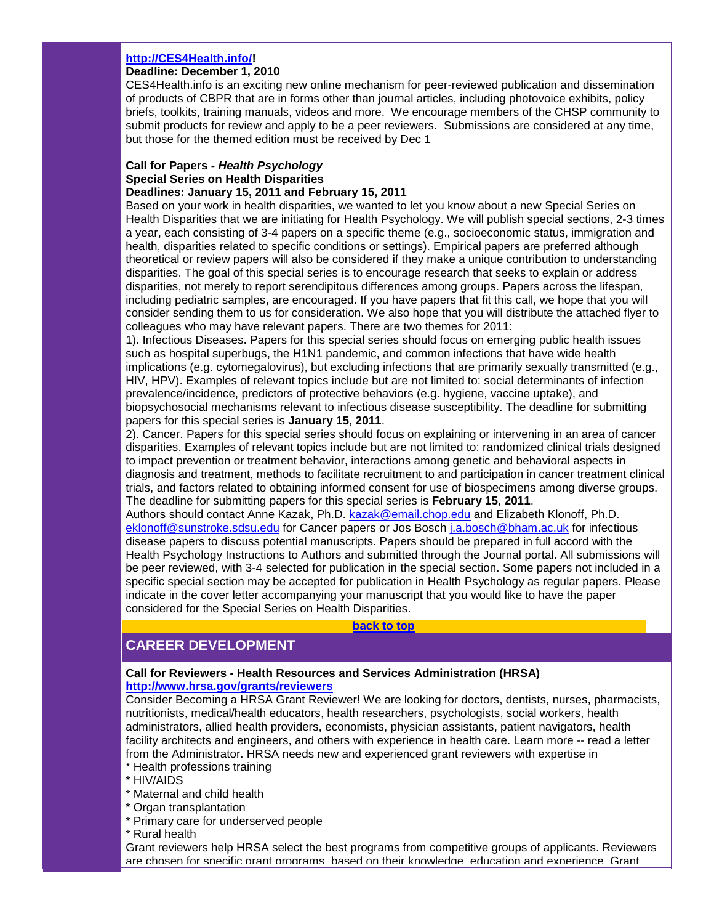## **[http://CES4Health.info/!](http://r20.rs6.net/tn.jsp?llr=5gytkqcab&et=1103757641324&s=1&e=001-tkSpkuRugB0jMjbbEfyCc03wHAigX5sXqyLRZjK6DM5PJ240wIinJl0InFFy4tFta08VOOq4Co1ji3hMep0g9IurOlI19h8eidOQMt7lLA=)**

## **Deadline: December 1, 2010**

CES4Health.info is an exciting new online mechanism for peer-reviewed publication and dissemination of products of CBPR that are in forms other than journal articles, including photovoice exhibits, policy briefs, toolkits, training manuals, videos and more. We encourage members of the CHSP community to submit products for review and apply to be a peer reviewers. Submissions are considered at any time, but those for the themed edition must be received by Dec 1

#### **Call for Papers -** *Health Psychology* **Special Series on Health Disparities Deadlines: January 15, 2011 and February 15, 2011**

Based on your work in health disparities, we wanted to let you know about a new Special Series on Health Disparities that we are initiating for Health Psychology. We will publish special sections, 2-3 times a year, each consisting of 3-4 papers on a specific theme (e.g., socioeconomic status, immigration and health, disparities related to specific conditions or settings). Empirical papers are preferred although theoretical or review papers will also be considered if they make a unique contribution to understanding disparities. The goal of this special series is to encourage research that seeks to explain or address disparities, not merely to report serendipitous differences among groups. Papers across the lifespan, including pediatric samples, are encouraged. If you have papers that fit this call, we hope that you will consider sending them to us for consideration. We also hope that you will distribute the attached flyer to colleagues who may have relevant papers. There are two themes for 2011:

1). Infectious Diseases. Papers for this special series should focus on emerging public health issues such as hospital superbugs, the H1N1 pandemic, and common infections that have wide health implications (e.g. cytomegalovirus), but excluding infections that are primarily sexually transmitted (e.g., HIV, HPV). Examples of relevant topics include but are not limited to: social determinants of infection prevalence/incidence, predictors of protective behaviors (e.g. hygiene, vaccine uptake), and biopsychosocial mechanisms relevant to infectious disease susceptibility. The deadline for submitting papers for this special series is **January 15, 2011**.

2). Cancer. Papers for this special series should focus on explaining or intervening in an area of cancer disparities. Examples of relevant topics include but are not limited to: randomized clinical trials designed to impact prevention or treatment behavior, interactions among genetic and behavioral aspects in diagnosis and treatment, methods to facilitate recruitment to and participation in cancer treatment clinical trials, and factors related to obtaining informed consent for use of biospecimens among diverse groups. The deadline for submitting papers for this special series is **February 15, 2011**.

Authors should contact Anne Kazak, Ph.D. [kazak@email.chop.edu](mailto:kazak@email.chop.edu) and Elizabeth Klonoff, Ph.D. [eklonoff@sunstroke.sdsu.edu](mailto:eklonoff@sunstroke.sdsu.edu) for Cancer papers or Jos Bosch [j.a.bosch@bham.ac.uk](mailto:j.a.bosch@bham.ac.uk) for infectious disease papers to discuss potential manuscripts. Papers should be prepared in full accord with the Health Psychology Instructions to Authors and submitted through the Journal portal. All submissions will be peer reviewed, with 3-4 selected for publication in the special section. Some papers not included in a specific special section may be accepted for publication in Health Psychology as regular papers. Please indicate in the cover letter accompanying your manuscript that you would like to have the paper considered for the Special Series on Health Disparities.

#### **[back to top](#page-0-2)**

## <span id="page-8-0"></span>**CAREER DEVELOPMENT**

#### **Call for Reviewers - Health Resources and Services Administration (HRSA) [http://www.hrsa.gov/grants/reviewers](http://r20.rs6.net/tn.jsp?llr=5gytkqcab&et=1103757641324&s=1&e=001-tkSpkuRugDHqDkMWZAz2eAEnlLXoK7pB7qPLV6ElVhG8Hsa2_JXZEiOW4DiqZSTTfJQqN1jSfQuRrA6F2ws7Vm7EH1iFWXR5wJvWELBGb4kDx7mhAYVux62WSK-DOh6)**

Consider Becoming a HRSA Grant Reviewer! We are looking for doctors, dentists, nurses, pharmacists, nutritionists, medical/health educators, health researchers, psychologists, social workers, health administrators, allied health providers, economists, physician assistants, patient navigators, health facility architects and engineers, and others with experience in health care. Learn more -- read a letter from the Administrator. HRSA needs new and experienced grant reviewers with expertise in

- \* Health professions training
- \* HIV/AIDS
- \* Maternal and child health
- \* Organ transplantation
- \* Primary care for underserved people
- \* Rural health

Grant reviewers help HRSA select the best programs from competitive groups of applicants. Reviewers are chosen for specific grant programs, based on their knowledge, education and experience. Grant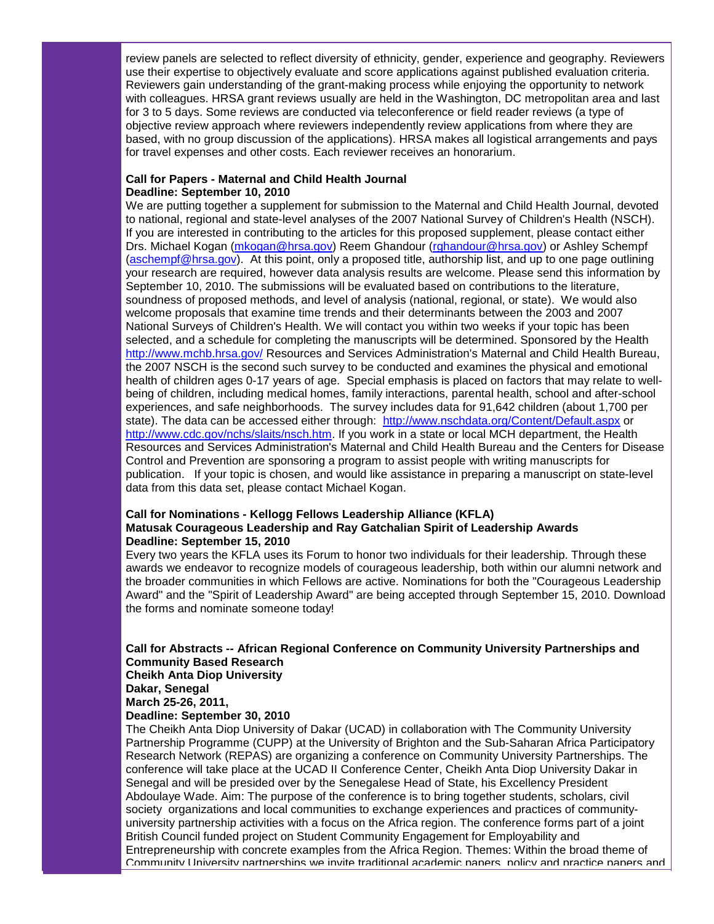review panels are selected to reflect diversity of ethnicity, gender, experience and geography. Reviewers use their expertise to objectively evaluate and score applications against published evaluation criteria. Reviewers gain understanding of the grant-making process while enjoying the opportunity to network with colleagues. HRSA grant reviews usually are held in the Washington, DC metropolitan area and last for 3 to 5 days. Some reviews are conducted via teleconference or field reader reviews (a type of objective review approach where reviewers independently review applications from where they are based, with no group discussion of the applications). HRSA makes all logistical arrangements and pays for travel expenses and other costs. Each reviewer receives an honorarium.

## **Call for Papers - Maternal and Child Health Journal Deadline: September 10, 2010**

We are putting together a supplement for submission to the Maternal and Child Health Journal, devoted to national, regional and state-level analyses of the 2007 National Survey of Children's Health (NSCH). If you are interested in contributing to the articles for this proposed supplement, please contact either Drs. Michael Kogan [\(mkogan@hrsa.gov\)](mailto:mkogan@hrsa.gov) Reem Ghandour [\(rghandour@hrsa.gov\)](mailto:rghandour@hrsa.gov) or Ashley Schempf [\(aschempf@hrsa.gov\)](mailto:aschempf@hrsa.gov). At this point, only a proposed title, authorship list, and up to one page outlining your research are required, however data analysis results are welcome. Please send this information by September 10, 2010. The submissions will be evaluated based on contributions to the literature, soundness of proposed methods, and level of analysis (national, regional, or state). We would also welcome proposals that examine time trends and their determinants between the 2003 and 2007 National Surveys of Children's Health. We will contact you within two weeks if your topic has been selected, and a schedule for completing the manuscripts will be determined. Sponsored by the Health [http://www.mchb.hrsa.gov/](http://r20.rs6.net/tn.jsp?llr=5gytkqcab&et=1103757641324&s=1&e=001-tkSpkuRugA6p_qCyD1PKBC31C7RqdUvoMYMwrsVx8nn-gyAHcAMhmEj-gmFKj27rYhPrx_ALw4IkMWXbFI8squOvsymrBFOaRHWsZYYS8OL3zqSROLK-w==) Resources and Services Administration's Maternal and Child Health Bureau, the 2007 NSCH is the second such survey to be conducted and examines the physical and emotional health of children ages 0-17 years of age. Special emphasis is placed on factors that may relate to wellbeing of children, including medical homes, family interactions, parental health, school and after-school experiences, and safe neighborhoods. The survey includes data for 91,642 children (about 1,700 per state). The data can be accessed either through: [http://www.nschdata.org/Content/Default.aspx](http://r20.rs6.net/tn.jsp?llr=5gytkqcab&et=1103757641324&s=1&e=001-tkSpkuRugAuq_2W1mrUkEn8KRts7h5LSq9ShnNuUeAd9B06fe5MLLWo_6uTWWlmsaR95vBuQqKtPhPHukb3ieABrl2Ho3adLnbPAoK67VPL1439-uw2BJOO-TN70g3T6v3txb74tak=) or [http://www.cdc.gov/nchs/slaits/nsch.htm.](http://r20.rs6.net/tn.jsp?llr=5gytkqcab&et=1103757641324&s=1&e=001-tkSpkuRugAtDS2zUFJGTpOvty9u07rtSPyenABBmL8pydOEzE76wd3hyNZVS2tRFkC0yUNKPN8m89c0j80c4m3YH_IaHag793nAFh9JIeD7KeSjbLa5d7Ns1Bc6zkgMRlXP6UuVXlk=) If you work in a state or local MCH department, the Health Resources and Services Administration's Maternal and Child Health Bureau and the Centers for Disease Control and Prevention are sponsoring a program to assist people with writing manuscripts for publication. If your topic is chosen, and would like assistance in preparing a manuscript on state-level data from this data set, please contact Michael Kogan.

## **Call for Nominations - Kellogg Fellows Leadership Alliance (KFLA) Matusak Courageous Leadership and Ray Gatchalian Spirit of Leadership Awards Deadline: September 15, 2010**

Every two years the KFLA uses its Forum to honor two individuals for their leadership. Through these awards we endeavor to recognize models of courageous leadership, both within our alumni network and the broader communities in which Fellows are active. Nominations for both the "Courageous Leadership Award" and the "Spirit of Leadership Award" are being accepted through September 15, 2010. Download the forms and nominate someone today!

#### **Call for Abstracts -- African Regional Conference on Community University Partnerships and Community Based Research Cheikh Anta Diop University**

**Dakar, Senegal March 25-26, 2011,** 

**Deadline: September 30, 2010**

The Cheikh Anta Diop University of Dakar (UCAD) in collaboration with The Community University Partnership Programme (CUPP) at the University of Brighton and the Sub-Saharan Africa Participatory Research Network (REPAS) are organizing a conference on Community University Partnerships. The conference will take place at the UCAD II Conference Center, Cheikh Anta Diop University Dakar in Senegal and will be presided over by the Senegalese Head of State, his Excellency President Abdoulaye Wade. Aim: The purpose of the conference is to bring together students, scholars, civil society organizations and local communities to exchange experiences and practices of communityuniversity partnership activities with a focus on the Africa region. The conference forms part of a joint British Council funded project on Student Community Engagement for Employability and Entrepreneurship with concrete examples from the Africa Region. Themes: Within the broad theme of Community University partnerships we invite traditional academic papers, policy and practice papers and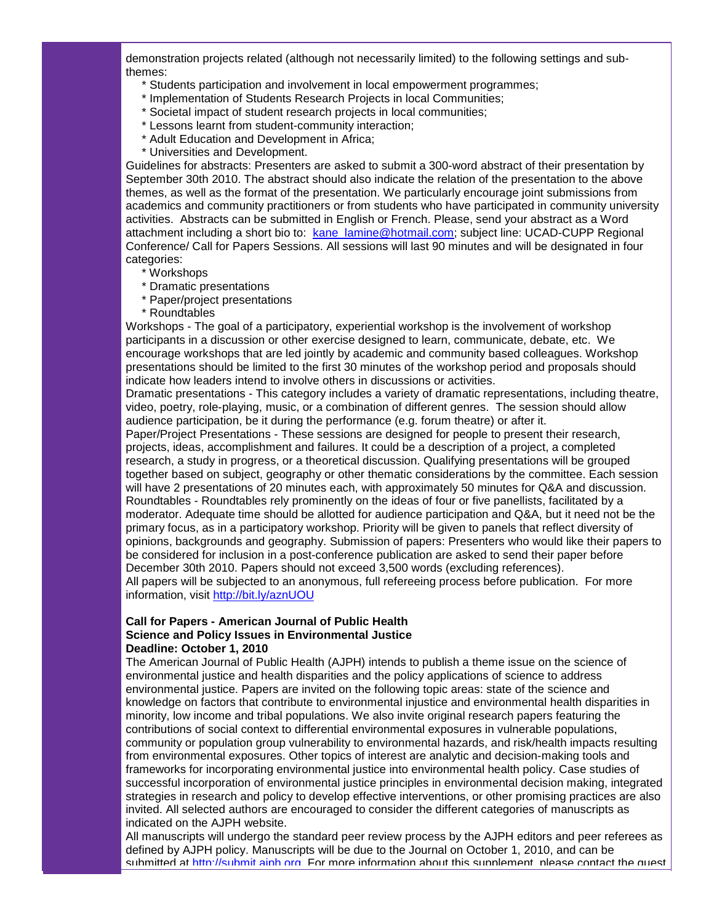demonstration projects related (although not necessarily limited) to the following settings and subthemes:

- \* Students participation and involvement in local empowerment programmes;
- \* Implementation of Students Research Projects in local Communities;
- \* Societal impact of student research projects in local communities;
- \* Lessons learnt from student-community interaction;
- \* Adult Education and Development in Africa;
- \* Universities and Development.

Guidelines for abstracts: Presenters are asked to submit a 300-word abstract of their presentation by September 30th 2010. The abstract should also indicate the relation of the presentation to the above themes, as well as the format of the presentation. We particularly encourage joint submissions from academics and community practitioners or from students who have participated in community university activities. Abstracts can be submitted in English or French. Please, send your abstract as a Word attachment including a short bio to: [kane\\_lamine@hotmail.com;](mailto:kane_lamine@hotmail.com) subject line: UCAD-CUPP Regional Conference/ Call for Papers Sessions. All sessions will last 90 minutes and will be designated in four categories:

- \* Workshops
- \* Dramatic presentations
- \* Paper/project presentations
- \* Roundtables

Workshops - The goal of a participatory, experiential workshop is the involvement of workshop participants in a discussion or other exercise designed to learn, communicate, debate, etc. We encourage workshops that are led jointly by academic and community based colleagues. Workshop presentations should be limited to the first 30 minutes of the workshop period and proposals should indicate how leaders intend to involve others in discussions or activities.

Dramatic presentations - This category includes a variety of dramatic representations, including theatre, video, poetry, role-playing, music, or a combination of different genres. The session should allow audience participation, be it during the performance (e.g. forum theatre) or after it.

Paper/Project Presentations - These sessions are designed for people to present their research, projects, ideas, accomplishment and failures. It could be a description of a project, a completed research, a study in progress, or a theoretical discussion. Qualifying presentations will be grouped together based on subject, geography or other thematic considerations by the committee. Each session will have 2 presentations of 20 minutes each, with approximately 50 minutes for Q&A and discussion. Roundtables - Roundtables rely prominently on the ideas of four or five panellists, facilitated by a moderator. Adequate time should be allotted for audience participation and Q&A, but it need not be the primary focus, as in a participatory workshop. Priority will be given to panels that reflect diversity of opinions, backgrounds and geography. Submission of papers: Presenters who would like their papers to be considered for inclusion in a post-conference publication are asked to send their paper before December 30th 2010. Papers should not exceed 3,500 words (excluding references). All papers will be subjected to an anonymous, full refereeing process before publication. For more information, visit [http://bit.ly/aznUOU](http://r20.rs6.net/tn.jsp?llr=5gytkqcab&et=1103757641324&s=1&e=001-tkSpkuRugCx_IglzsytTrwA3LFdIzduXHqXAYWMuFgwpa0tdgmlsN4X1XjioTRg1logYPk0gNv_nblYjrsgpKo2skbDtATcpN-hChxIBxQ=)

## **Call for Papers - American Journal of Public Health Science and Policy Issues in Environmental Justice Deadline: October 1, 2010**

The American Journal of Public Health (AJPH) intends to publish a theme issue on the science of environmental justice and health disparities and the policy applications of science to address environmental justice. Papers are invited on the following topic areas: state of the science and knowledge on factors that contribute to environmental injustice and environmental health disparities in minority, low income and tribal populations. We also invite original research papers featuring the contributions of social context to differential environmental exposures in vulnerable populations, community or population group vulnerability to environmental hazards, and risk/health impacts resulting from environmental exposures. Other topics of interest are analytic and decision-making tools and frameworks for incorporating environmental justice into environmental health policy. Case studies of successful incorporation of environmental justice principles in environmental decision making, integrated strategies in research and policy to develop effective interventions, or other promising practices are also invited. All selected authors are encouraged to consider the different categories of manuscripts as indicated on the AJPH website.

All manuscripts will undergo the standard peer review process by the AJPH editors and peer referees as defined by AJPH policy. Manuscripts will be due to the Journal on October 1, 2010, and can be submitted at http://submit.aiph.org. For more information about this supplement, please contact the guest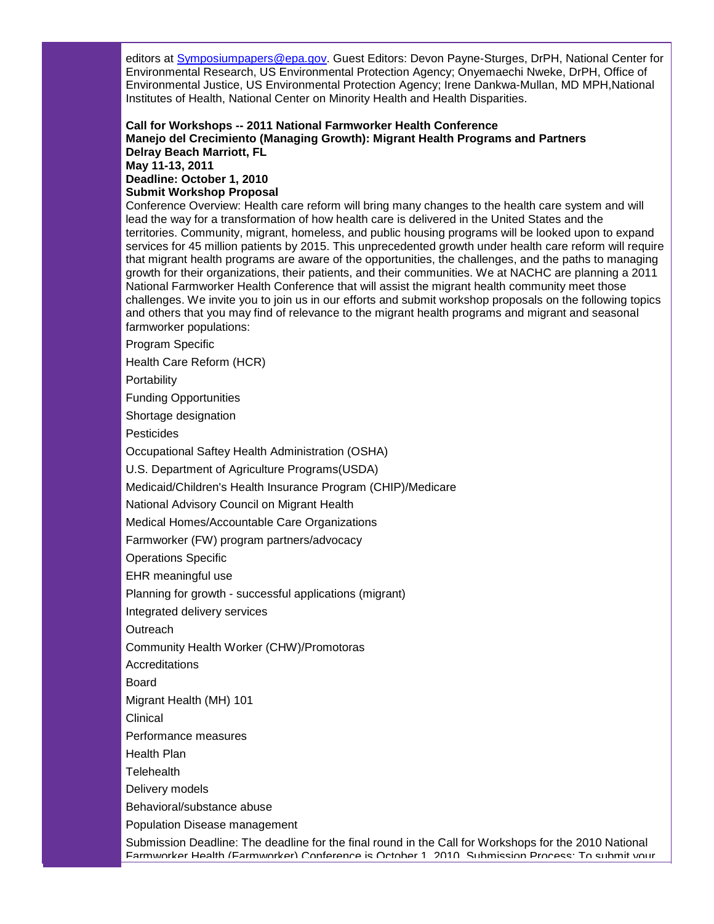editors at [Symposiumpapers@epa.gov.](mailto:Symposiumpapers@epa.gov) Guest Editors: Devon Payne-Sturges, DrPH, National Center for Environmental Research, US Environmental Protection Agency; Onyemaechi Nweke, DrPH, Office of Environmental Justice, US Environmental Protection Agency; Irene Dankwa-Mullan, MD MPH,National Institutes of Health, National Center on Minority Health and Health Disparities.

**Call for Workshops -- 2011 National Farmworker Health Conference Manejo del Crecimiento (Managing Growth): Migrant Health Programs and Partners Delray Beach Marriott, FL May 11-13, 2011 Deadline: October 1, 2010 Submit Workshop Proposal**

Conference Overview: Health care reform will bring many changes to the health care system and will lead the way for a transformation of how health care is delivered in the United States and the territories. Community, migrant, homeless, and public housing programs will be looked upon to expand services for 45 million patients by 2015. This unprecedented growth under health care reform will require that migrant health programs are aware of the opportunities, the challenges, and the paths to managing growth for their organizations, their patients, and their communities. We at NACHC are planning a 2011 National Farmworker Health Conference that will assist the migrant health community meet those challenges. We invite you to join us in our efforts and submit workshop proposals on the following topics and others that you may find of relevance to the migrant health programs and migrant and seasonal farmworker populations:

Program Specific

Health Care Reform (HCR)

Portability

Funding Opportunities

Shortage designation

**Pesticides** 

Occupational Saftey Health Administration (OSHA)

U.S. Department of Agriculture Programs(USDA)

Medicaid/Children's Health Insurance Program (CHIP)/Medicare

National Advisory Council on Migrant Health

Medical Homes/Accountable Care Organizations

Farmworker (FW) program partners/advocacy

Operations Specific

EHR meaningful use

Planning for growth - successful applications (migrant)

Integrated delivery services

**Outreach** 

Community Health Worker (CHW)/Promotoras

**Accreditations** 

Board

Migrant Health (MH) 101

Clinical

Performance measures

Health Plan

**Telehealth** 

Delivery models

Behavioral/substance abuse

Population Disease management

Submission Deadline: The deadline for the final round in the Call for Workshops for the 2010 National Farmworker Health (Farmworker) Conference is October 1, 2010. Submission Process: To submit your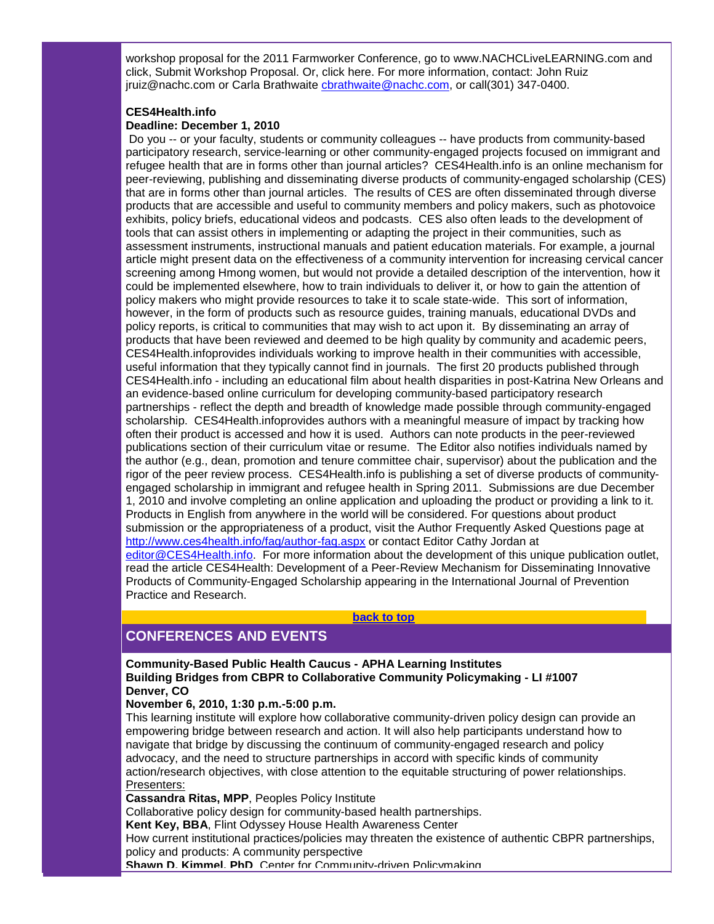workshop proposal for the 2011 Farmworker Conference, go to www.NACHCLiveLEARNING.com and click, Submit Workshop Proposal. Or, click here. For more information, contact: John Ruiz jruiz@nachc.com or Carla Brathwaite [cbrathwaite@nachc.com,](mailto:cbrathwaite@nachc.com) or call(301) 347-0400.

## **CES4Health.info**

## **Deadline: December 1, 2010**

Do you -- or your faculty, students or community colleagues -- have products from community-based participatory research, service-learning or other community-engaged projects focused on immigrant and refugee health that are in forms other than journal articles? CES4Health.info is an online mechanism for peer-reviewing, publishing and disseminating diverse products of community-engaged scholarship (CES) that are in forms other than journal articles. The results of CES are often disseminated through diverse products that are accessible and useful to community members and policy makers, such as photovoice exhibits, policy briefs, educational videos and podcasts. CES also often leads to the development of tools that can assist others in implementing or adapting the project in their communities, such as assessment instruments, instructional manuals and patient education materials. For example, a journal article might present data on the effectiveness of a community intervention for increasing cervical cancer screening among Hmong women, but would not provide a detailed description of the intervention, how it could be implemented elsewhere, how to train individuals to deliver it, or how to gain the attention of policy makers who might provide resources to take it to scale state-wide. This sort of information, however, in the form of products such as resource guides, training manuals, educational DVDs and policy reports, is critical to communities that may wish to act upon it. By disseminating an array of products that have been reviewed and deemed to be high quality by community and academic peers, CES4Health.infoprovides individuals working to improve health in their communities with accessible, useful information that they typically cannot find in journals. The first 20 products published through CES4Health.info - including an educational film about health disparities in post-Katrina New Orleans and an evidence-based online curriculum for developing community-based participatory research partnerships - reflect the depth and breadth of knowledge made possible through community-engaged scholarship. CES4Health.infoprovides authors with a meaningful measure of impact by tracking how often their product is accessed and how it is used. Authors can note products in the peer-reviewed publications section of their curriculum vitae or resume. The Editor also notifies individuals named by the author (e.g., dean, promotion and tenure committee chair, supervisor) about the publication and the rigor of the peer review process. CES4Health.info is publishing a set of diverse products of communityengaged scholarship in immigrant and refugee health in Spring 2011. Submissions are due December 1, 2010 and involve completing an online application and uploading the product or providing a link to it. Products in English from anywhere in the world will be considered. For questions about product submission or the appropriateness of a product, visit the Author Frequently Asked Questions page at [http://www.ces4health.info/faq/author-faq.aspx](http://r20.rs6.net/tn.jsp?llr=5gytkqcab&et=1103757641324&s=1&e=001-tkSpkuRugC8JqJZ99x3rXDf1zGOyg4iVKTuzS91LU41Li0lchBknO-8tN5Xss49e_JlmV3GN03riwmIJ_l6yZPuww1xuAzC0KLJK1UaS0jU3NA2o_WdHKSDPxKLw0qy6grC6iF_iLc=) or contact Editor Cathy Jordan at [editor@CES4Health.info.](mailto:editor@CES4Health.info) For more information about the development of this unique publication outlet, read the article CES4Health: Development of a Peer-Review Mechanism for Disseminating Innovative Products of Community-Engaged Scholarship appearing in the International Journal of Prevention Practice and Research.

## **[back to top](#page-0-2)**

## <span id="page-12-0"></span>**CONFERENCES AND EVENTS**

**Community-Based Public Health Caucus - APHA Learning Institutes Building Bridges from CBPR to Collaborative Community Policymaking - LI #1007 Denver, CO**

#### **November 6, 2010, 1:30 p.m.-5:00 p.m.**

This learning institute will explore how collaborative community-driven policy design can provide an empowering bridge between research and action. It will also help participants understand how to navigate that bridge by discussing the continuum of community-engaged research and policy advocacy, and the need to structure partnerships in accord with specific kinds of community action/research objectives, with close attention to the equitable structuring of power relationships. Presenters:

**Cassandra Ritas, MPP**, Peoples Policy Institute

Collaborative policy design for community-based health partnerships.

**Kent Key, BBA**, Flint Odyssey House Health Awareness Center

How current institutional practices/policies may threaten the existence of authentic CBPR partnerships, policy and products: A community perspective

**Shawn D. Kimmel, PhD**, Center for Community-driven Policymaking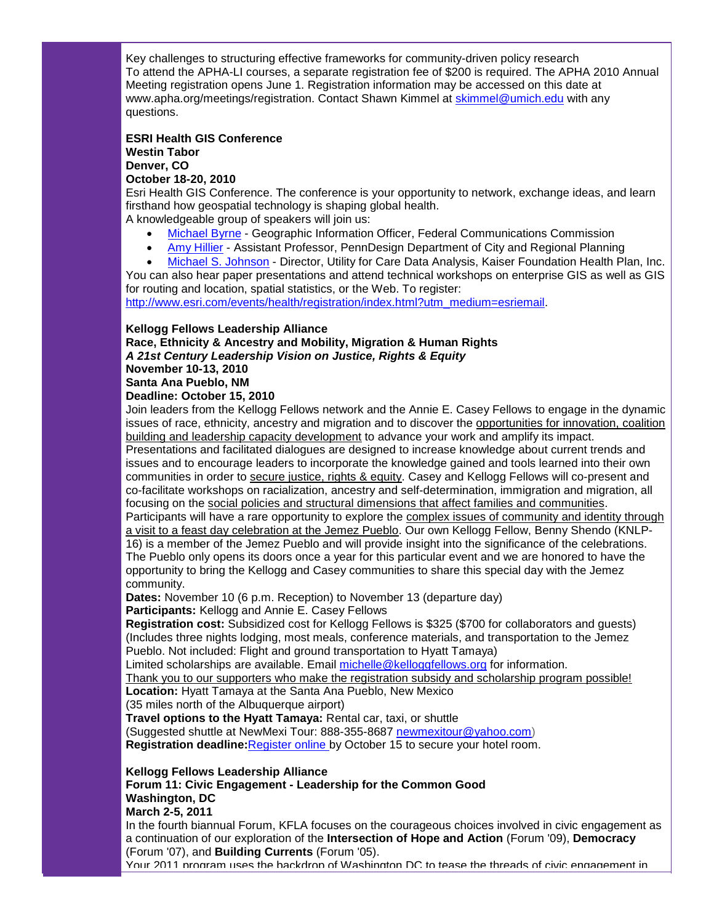Key challenges to structuring effective frameworks for community-driven policy research To attend the APHA-LI courses, a separate registration fee of \$200 is required. The APHA 2010 Annual Meeting registration opens June 1. Registration information may be accessed on this date at www.apha.org/meetings/registration. Contact Shawn Kimmel at [skimmel@umich.edu](mailto:skimmel@umich.edu) with any questions.

#### **ESRI Health GIS Conference Westin Tabor Denver, CO October 18-20, 2010**

Esri Health GIS Conference. The conference is your opportunity to network, exchange ideas, and learn firsthand how geospatial technology is shaping global health.

A knowledgeable group of speakers will join us:

- [Michael Byrne](http://r20.rs6.net/tn.jsp?llr=5gytkqcab&et=1103757641324&s=1&e=001-tkSpkuRugCtrX6bkTIfAQkKlQQ77bjwvVhWD1hvB71a45xFrtstc5vpdWfJA7agexN68xT4anDDZhMk_sHnVENGmtpHyRs_nvqsJO1a6ra_zvq84u7TJc00CxijAfPnxgBOzgFLjFsmYp9p9hX5g7142EaR_11VDn8iaYuCGSvLCYODRBS_Hxn-N-gTzD85zgE-9Hjl3YZLZmVt_B1J2hJ3gUs4DT1i85c4-F1nunM0LneKGNmvyk7TXdPrdxtLw32mtcpqdB_yyjWXqLBrvZmCeskd6hD0wA78sDK_GN7wADoSCpPCFWa5sm5eJlbOqpIqac6FOlcEEqwbDWgyJiJ7qhWZItDyO-54dKYz9GruzE48mQujBgbZ4bhxE80B2wh3G0Ky2vFDd9DV5bVsL6Cy_YdUu0yqaOFAtwowZYlZ5ND-ojq7D7sOnodbyvWyQs-Mek_uoGp-7Tvr4tM1_rqEEnF7b0-2b1NkJpzzH2ZKDbIqFa-Tk6grw0swpQfDSvXttelGaLgD2aeodnvKFA==) Geographic Information Officer, Federal Communications Commission
- [Amy Hillier](http://r20.rs6.net/tn.jsp?llr=5gytkqcab&et=1103757641324&s=1&e=001-tkSpkuRugCravweCYRtfg6YWDOQrDf22ibGWLrcDnELgf4sLhFzoLXEGk4sTFk41UL8CM_4mLWsZ8NXsBYFMcWdkkvu6WrqG7A5jNci60lu9Nx3iZ0Cz2IM3-SeF6UCLbwnbV4CuIjmrOGKDisSU7_qeWEMTPGOlM_qNFGcR8wXAjENCjD_hoAwNaKMSdr_2k925RJU0t9ufRU0BxQC6UErIScdT9JNPiGcLaYa3yKU2o8LkChz8iD1iK4t1DYogwqsfKcAG562juzaOzjgbPduHHoccpiGtQbiC57iZ85qR4uU7bVyedKOK6V12DfG01aoQQe_qE_1Zwolemi_M9qYdLACoSNusz8heT3Y2GpVfBqhQxBpprxDBWI0TvQXPUnkv-rDX0lo-FCwxWrpfkWlWfBN2t9VrNSeZoVskuC1zHUPOqGZ3xVBe4sM-Iu1z5K7-IRASw8cmg2DQ12B9zz3b4jXu0J29c-rQ8GinDhLsdNKze-U9i8AO3ZGVjBYHd88Eaci7oDGq--7qrrLhK0AwgW2FxN-TiR9rtikY3U=) Assistant Professor, PennDesign Department of City and Regional Planning
- [Michael S. Johnson](http://r20.rs6.net/tn.jsp?llr=5gytkqcab&et=1103757641324&s=1&e=001-tkSpkuRugCr61KuGpXQny2EbBR0mN7KNrchIhZMQnfLldlBJJ25lBsklp_p0Zt-u5cKHbnCFR9TRSGF54JXjWAiyMs4-WTkuGpjs4S6MLOOmIWvgkRbtlUOJiSv0KpeeeG5LHyU-DbJ3xZkV0wB7tesgK8hkUzslJ24HyQlce5btPILxOvPgw==) Director, Utility for Care Data Analysis, Kaiser Foundation Health Plan, Inc.

You can also hear paper presentations and attend technical workshops on enterprise GIS as well as GIS for routing and location, spatial statistics, or the Web. To register:

[http://www.esri.com/events/health/registration/index.html?utm\\_medium=esriemail.](http://r20.rs6.net/tn.jsp?llr=5gytkqcab&et=1103757641324&s=1&e=001-tkSpkuRugBcI3LUoLNzXKgNPuYDskWUjiNlAMttOc8wDCzwswwaDW9TWEeXmeZvKiF1gqkYDUQ2GDc68eHx3K0Mn7_zAsoRlacij_jngjS7amToyJpw-3lruU72OMhtq9zEOKcEkiAsiE0eg0si8hGdos0w86yY7CDRqbIokBIIg4Kn1pzys5CeBmsUncbd)

## **Kellogg Fellows Leadership Alliance**

**Race, Ethnicity & Ancestry and Mobility, Migration & Human Rights** *A 21st Century Leadership Vision on Justice, Rights & Equity*

**November 10-13, 2010**

**Santa Ana Pueblo, NM**

## **Deadline: October 15, 2010**

Join leaders from the Kellogg Fellows network and the Annie E. Casey Fellows to engage in the dynamic issues of race, ethnicity, ancestry and migration and to discover the opportunities for innovation, coalition building and leadership capacity development to advance your work and amplify its impact.

Presentations and facilitated dialogues are designed to increase knowledge about current trends and issues and to encourage leaders to incorporate the knowledge gained and tools learned into their own communities in order to secure justice, rights & equity. Casey and Kellogg Fellows will co-present and co-facilitate workshops on racialization, ancestry and self-determination, immigration and migration, all focusing on the social policies and structural dimensions that affect families and communities.

Participants will have a rare opportunity to explore the complex issues of community and identity through a visit to a feast day celebration at the Jemez Pueblo. Our own Kellogg Fellow, Benny Shendo (KNLP-16) is a member of the Jemez Pueblo and will provide insight into the significance of the celebrations. The Pueblo only opens its doors once a year for this particular event and we are honored to have the opportunity to bring the Kellogg and Casey communities to share this special day with the Jemez community.

**Dates:** November 10 (6 p.m. Reception) to November 13 (departure day) **Participants:** Kellogg and Annie E. Casey Fellows

**Registration cost:** Subsidized cost for Kellogg Fellows is \$325 (\$700 for collaborators and guests) (Includes three nights lodging, most meals, conference materials, and transportation to the Jemez Pueblo. Not included: Flight and ground transportation to Hyatt Tamaya)

Limited scholarships are available. Email [michelle@kelloggfellows.org](mailto:mdibenedetto@kelloggfellows.org) for information.

Thank you to our supporters who make the registration subsidy and scholarship program possible! **Location:** Hyatt Tamaya at the Santa Ana Pueblo, New Mexico

(35 miles north of the Albuquerque airport)

**Travel options to the Hyatt Tamaya:** Rental car, taxi, or shuttle

(Suggested shuttle at NewMexi Tour: 888-355-8687 [newmexitour@yahoo.com\)](mailto:newmexitour@yahoo.com)

Registration deadline: [Register online b](http://r20.rs6.net/tn.jsp?llr=qkoxmkcab&et=1103687300598&s=1011&e=001hp4NIDxPrp7aeZ1ZulKpzV7zovOK4gsUyIBXfEnTaXgXqJHjv3kIKpSauJueQb7tNyE3f1ypDZh157iIcWiQL7u8cCXutEFOFygnYvJPsuwuveRKZXkGIQS22ZCleBAX0ZW4Gljr3-g1boWXJfUPPA==)y October 15 to secure your hotel room.

## **Kellogg Fellows Leadership Alliance**

**Forum 11: Civic Engagement - Leadership for the Common Good Washington, DC**

**March 2-5, 2011**

In the fourth biannual Forum, KFLA focuses on the courageous choices involved in civic engagement as a continuation of our exploration of the **Intersection of Hope and Action** (Forum '09), **Democracy** (Forum '07), and **Building Currents** (Forum '05).

Your 2011 program uses the backdrop of Washington DC to tease the threads of civic engagement in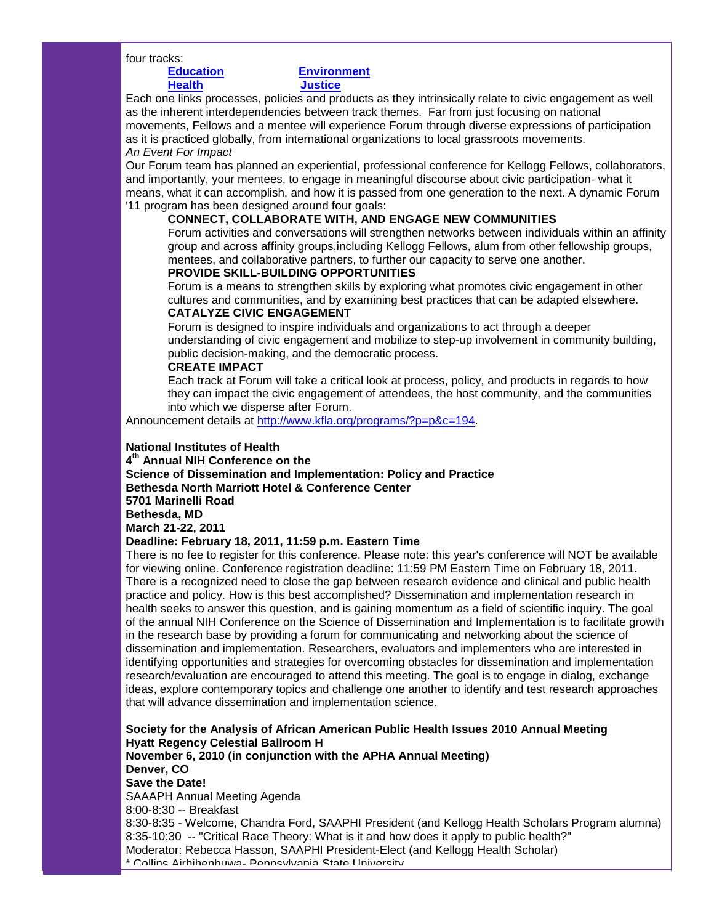four tracks:

## **[Education](http://r20.rs6.net/tn.jsp?llr=5gytkqcab&t=mtbkr5dab.0.8iynr5dab.5gytkqcab.1&ts=S0537&p=http%3A%2F%2Fwww.kfla.org%2Fprograms%2F%3Fp%3Dp%26c%3D216) [Environment](http://r20.rs6.net/tn.jsp?llr=5gytkqcab&t=mtbkr5dab.0.7iynr5dab.5gytkqcab.1&ts=S0537&p=http%3A%2F%2Fwww.kfla.org%2Fprograms%2F%3Fp%3Dp%26c%3D217) [Health](http://r20.rs6.net/tn.jsp?llr=5gytkqcab&t=mtbkr5dab.0.6iynr5dab.5gytkqcab.1&ts=S0537&p=http%3A%2F%2Fwww.kfla.org%2Fprograms%2F%3Fp%3Dp%26c%3D218) [Justice](http://r20.rs6.net/tn.jsp?llr=5gytkqcab&t=mtbkr5dab.0.5iynr5dab.5gytkqcab.1&ts=S0537&p=http%3A%2F%2Fwww.kfla.org%2Fprograms%2F%3Fp%3Dp%26c%3D219)**

Each one links processes, policies and products as they intrinsically relate to civic engagement as well as the inherent interdependencies between track themes. Far from just focusing on national movements, Fellows and a mentee will experience Forum through diverse expressions of participation as it is practiced globally, from international organizations to local grassroots movements. *An Event For Impact*

Our Forum team has planned an experiential, professional conference for Kellogg Fellows, collaborators, and importantly, your mentees, to engage in meaningful discourse about civic participation- what it means, what it can accomplish, and how it is passed from one generation to the next. A dynamic Forum '11 program has been designed around four goals:

## **CONNECT, COLLABORATE WITH, AND ENGAGE NEW COMMUNITIES**

Forum activities and conversations will strengthen networks between individuals within an affinity group and across affinity groups,including Kellogg Fellows, alum from other fellowship groups, mentees, and collaborative partners, to further our capacity to serve one another.

## **PROVIDE SKILL-BUILDING OPPORTUNITIES**

Forum is a means to strengthen skills by exploring what promotes civic engagement in other cultures and communities, and by examining best practices that can be adapted elsewhere. **CATALYZE CIVIC ENGAGEMENT**

# Forum is designed to inspire individuals and organizations to act through a deeper

understanding of civic engagement and mobilize to step-up involvement in community building, public decision-making, and the democratic process.

## **CREATE IMPACT**

Each track at Forum will take a critical look at process, policy, and products in regards to how they can impact the civic engagement of attendees, the host community, and the communities into which we disperse after Forum.

Announcement details at [http://www.kfla.org/programs/?p=p&c=194.](http://r20.rs6.net/tn.jsp?llr=5gytkqcab&t=mtbkr5dab.0.4iynr5dab.5gytkqcab.1&ts=S0537&p=http%3A%2F%2Fwww.kfla.org%2Fprograms%2F%3Fp%3Dp%26c%3D194)

## **National Institutes of Health**

**4th Annual NIH Conference on the** 

**Science of Dissemination and Implementation: Policy and Practice Bethesda North Marriott Hotel & Conference Center 5701 Marinelli Road**

**Bethesda, MD**

## **March 21-22, 2011**

## **Deadline: February 18, 2011, 11:59 p.m. Eastern Time**

There is no fee to register for this conference. Please note: this year's conference will NOT be available for viewing online. Conference registration deadline: 11:59 PM Eastern Time on February 18, 2011. There is a recognized need to close the gap between research evidence and clinical and public health practice and policy. How is this best accomplished? Dissemination and implementation research in health seeks to answer this question, and is gaining momentum as a field of scientific inquiry. The goal of the annual NIH Conference on the Science of Dissemination and Implementation is to facilitate growth in the research base by providing a forum for communicating and networking about the science of dissemination and implementation. Researchers, evaluators and implementers who are interested in identifying opportunities and strategies for overcoming obstacles for dissemination and implementation research/evaluation are encouraged to attend this meeting. The goal is to engage in dialog, exchange ideas, explore contemporary topics and challenge one another to identify and test research approaches that will advance dissemination and implementation science.

**Society for the Analysis of African American Public Health Issues 2010 Annual Meeting Hyatt Regency Celestial Ballroom H November 6, 2010 (in conjunction with the APHA Annual Meeting) Denver, CO Save the Date!** SAAAPH Annual Meeting Agenda 8:00-8:30 -- Breakfast 8:30-8:35 - Welcome, Chandra Ford, SAAPHI President (and Kellogg Health Scholars Program alumna) 8:35-10:30 -- "Critical Race Theory: What is it and how does it apply to public health?" Moderator: Rebecca Hasson, SAAPHI President-Elect (and Kellogg Health Scholar) \* Collins Airhihenbuwa- Pennsylvania State University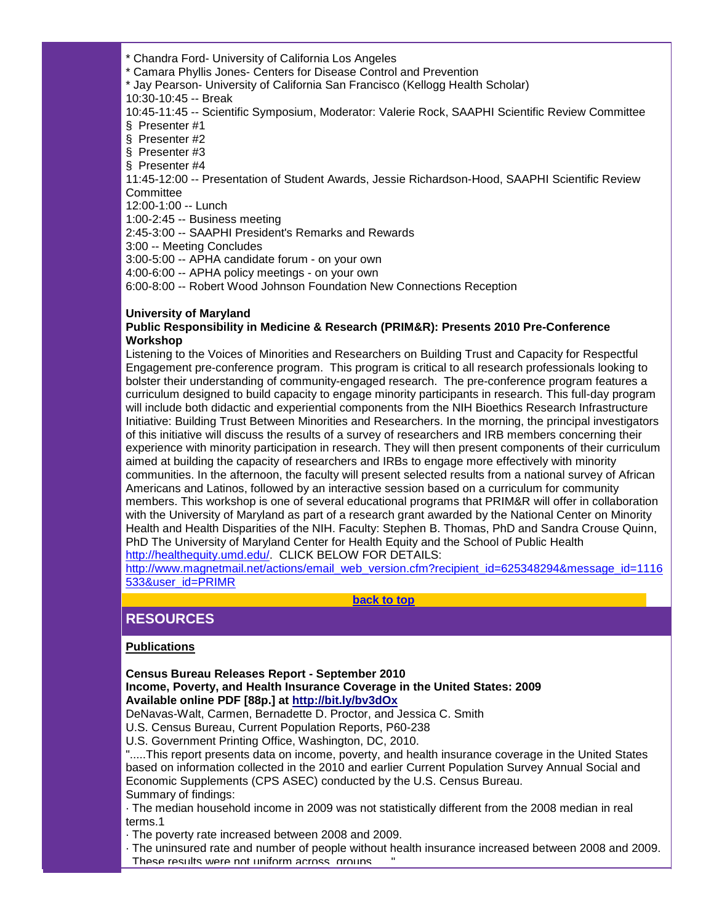- \* Chandra Ford- University of California Los Angeles
- \* Camara Phyllis Jones- Centers for Disease Control and Prevention
- \* Jay Pearson- University of California San Francisco (Kellogg Health Scholar)
- 10:30-10:45 -- Break

10:45-11:45 -- Scientific Symposium, Moderator: Valerie Rock, SAAPHI Scientific Review Committee § Presenter #1

- § Presenter #2
- § Presenter #3
- § Presenter #4

11:45-12:00 -- Presentation of Student Awards, Jessie Richardson-Hood, SAAPHI Scientific Review **Committee** 

12:00-1:00 -- Lunch

1:00-2:45 -- Business meeting

2:45-3:00 -- SAAPHI President's Remarks and Rewards

3:00 -- Meeting Concludes

3:00-5:00 -- APHA candidate forum - on your own

4:00-6:00 -- APHA policy meetings - on your own

6:00-8:00 -- Robert Wood Johnson Foundation New Connections Reception

## **University of Maryland**

## **Public Responsibility in Medicine & Research (PRIM&R): Presents 2010 Pre-Conference Workshop**

Listening to the Voices of Minorities and Researchers on Building Trust and Capacity for Respectful Engagement pre-conference program. This program is critical to all research professionals looking to bolster their understanding of community-engaged research. The pre-conference program features a curriculum designed to build capacity to engage minority participants in research. This full-day program will include both didactic and experiential components from the NIH Bioethics Research Infrastructure Initiative: Building Trust Between Minorities and Researchers. In the morning, the principal investigators of this initiative will discuss the results of a survey of researchers and IRB members concerning their experience with minority participation in research. They will then present components of their curriculum aimed at building the capacity of researchers and IRBs to engage more effectively with minority communities. In the afternoon, the faculty will present selected results from a national survey of African Americans and Latinos, followed by an interactive session based on a curriculum for community members. This workshop is one of several educational programs that PRIM&R will offer in collaboration with the University of Maryland as part of a research grant awarded by the National Center on Minority Health and Health Disparities of the NIH. Faculty: Stephen B. Thomas, PhD and Sandra Crouse Quinn, PhD The University of Maryland Center for Health Equity and the School of Public Health [http://healthequity.umd.edu/.](http://r20.rs6.net/tn.jsp?llr=5gytkqcab&t=mtbkr5dab.0.ajynr5dab.5gytkqcab.1&ts=S0537&p=http%3A%2F%2Fhealthequity.umd.edu%2F) CLICK BELOW FOR DETAILS:

[http://www.magnetmail.net/actions/email\\_web\\_version.cfm?recipient\\_id=625348294&message\\_id=1116](http://r20.rs6.net/tn.jsp?llr=5gytkqcab&t=mtbkr5dab.0.bjynr5dab.5gytkqcab.1&ts=S0537&p=http%3A%2F%2Fwww.magnetmail.net%2Factions%2Femail_web_version.cfm%3Frecipient_id%3D625348294%26message_id%3D1116533%26user_id%3DPRIMR) [533&user\\_id=PRIMR](http://r20.rs6.net/tn.jsp?llr=5gytkqcab&t=mtbkr5dab.0.bjynr5dab.5gytkqcab.1&ts=S0537&p=http%3A%2F%2Fwww.magnetmail.net%2Factions%2Femail_web_version.cfm%3Frecipient_id%3D625348294%26message_id%3D1116533%26user_id%3DPRIMR)

**[back to top](#page-0-2)**

# <span id="page-15-0"></span>**RESOURCES**

## **Publications**

## **Census Bureau Releases Report - September 2010 Income, Poverty, and Health Insurance Coverage in the United States: 2009 Available online PDF [88p.] at [http://bit.ly/bv3dOx](http://r20.rs6.net/tn.jsp?llr=5gytkqcab&t=mtbkr5dab.0.cjynr5dab.5gytkqcab.1&ts=S0537&p=http%3A%2F%2Fbit.ly%2Fbv3dOx)**

DeNavas-Walt, Carmen, Bernadette D. Proctor, and Jessica C. Smith

U.S. Census Bureau, Current Population Reports, P60-238

U.S. Government Printing Office, Washington, DC, 2010.

".....This report presents data on income, poverty, and health insurance coverage in the United States based on information collected in the 2010 and earlier Current Population Survey Annual Social and Economic Supplements (CPS ASEC) conducted by the U.S. Census Bureau. Summary of findings:

· The median household income in 2009 was not statistically different from the 2008 median in real terms.1

- · The poverty rate increased between 2008 and 2009.
- · The uninsured rate and number of people without health insurance increased between 2008 and 2009. These results were not uniform across groups.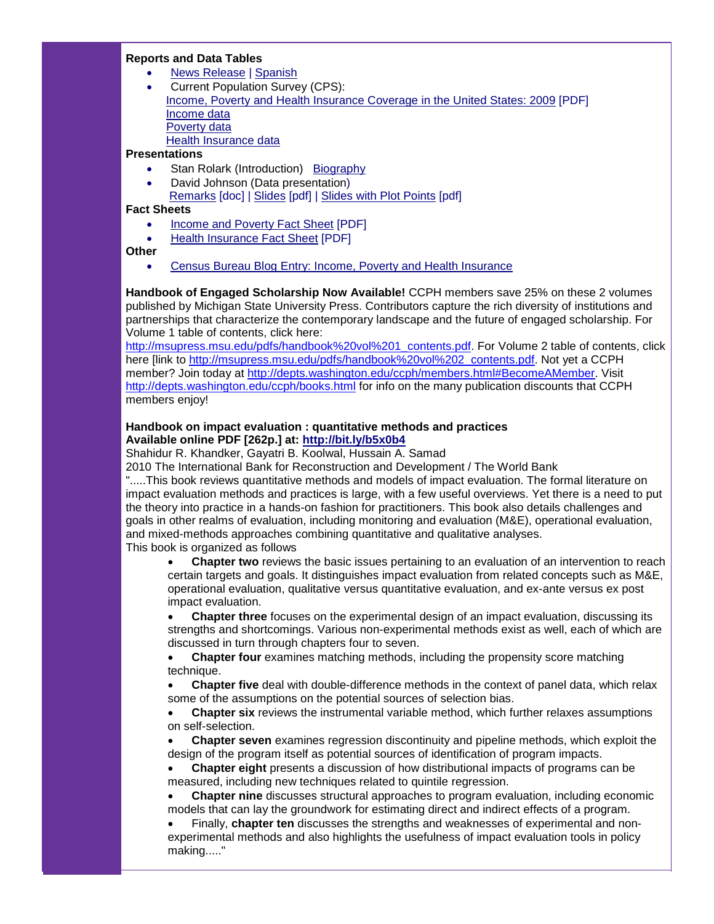#### **Reports and Data Tables**

- [News Release](http://r20.rs6.net/tn.jsp?llr=5gytkqcab&t=mtbkr5dab.0.djynr5dab.5gytkqcab.1&ts=S0537&p=http%3A%2F%2Fwww.census.gov%2Fnewsroom%2Freleases%2Farchives%2Fincome_wealth%2Fcb10-144.html) | [Spanish](http://r20.rs6.net/tn.jsp?llr=5gytkqcab&t=mtbkr5dab.0.fjynr5dab.5gytkqcab.1&ts=S0537&p=http%3A%2F%2Fwww.census.gov%2Fnewsroom%2Freleases%2Farchives%2Fincome_wealth%2Fcb10-144sp.html)
- Current Population Survey (CPS): [Income, Poverty and Health Insurance Coverage in the United States: 2009](http://r20.rs6.net/tn.jsp?llr=5gytkqcab&t=mtbkr5dab.0.hjynr5dab.5gytkqcab.1&ts=S0537&p=http%3A%2F%2Fwww.census.gov%2Fprod%2F2010pubs%2Fp60-238.pdf) [PDF] [Income data](http://r20.rs6.net/tn.jsp?llr=5gytkqcab&t=mtbkr5dab.0.ijynr5dab.5gytkqcab.1&ts=S0537&p=http%3A%2F%2Fwww.census.gov%2Fhhes%2Fwww%2Fincome%2Fincome.html) [Poverty data](http://r20.rs6.net/tn.jsp?llr=5gytkqcab&t=mtbkr5dab.0.jjynr5dab.5gytkqcab.1&ts=S0537&p=http%3A%2F%2Fwww.census.gov%2Fhhes%2Fwww%2Fpoverty%2Fpoverty.html) [Health Insurance data](http://r20.rs6.net/tn.jsp?llr=5gytkqcab&t=mtbkr5dab.0.kjynr5dab.5gytkqcab.1&ts=S0537&p=http%3A%2F%2Fwww.census.gov%2Fhhes%2Fwww%2Fhlthins%2Fhlthins.html)

#### **Presentations**

- Stan Rolark (Introduction) [Biography](http://r20.rs6.net/tn.jsp?llr=5gytkqcab&t=mtbkr5dab.0.ljynr5dab.5gytkqcab.1&ts=S0537&p=http%3A%2F%2Fwww.census.gov%2Fnewsroom%2Freleases%2Farchives%2Fnews_conferences%2Fstanley_rolark_bio.html)
- David Johnson (Data presentation)

[Remarks](http://r20.rs6.net/tn.jsp?llr=5gytkqcab&t=mtbkr5dab.0.mjynr5dab.5gytkqcab.1&ts=S0537&p=http%3A%2F%2Fwww.census.gov%2Fnewsroom%2Freleases%2Fdoc%2F2010-09-16_remarks_johnson.doc) [doc] | [Slides](http://r20.rs6.net/tn.jsp?llr=5gytkqcab&t=mtbkr5dab.0.njynr5dab.5gytkqcab.1&ts=S0537&p=http%3A%2F%2Fwww.census.gov%2Fnewsroom%2Freleases%2Fpdf%2F09-16-10_slides.pdf) [pdf] | [Slides with Plot Points](http://r20.rs6.net/tn.jsp?llr=5gytkqcab&t=mtbkr5dab.0.ojynr5dab.5gytkqcab.1&ts=S0537&p=http%3A%2F%2Fwww.census.gov%2Fnewsroom%2Freleases%2Fpdf%2F09-16-10_slides_plot.pdf) [pdf]

## **Fact Sheets**

- [Income and Poverty Fact Sheet](http://r20.rs6.net/tn.jsp?llr=5gytkqcab&t=mtbkr5dab.0.pjynr5dab.5gytkqcab.1&ts=S0537&p=http%3A%2F%2Fwww.census.gov%2Fnewsroom%2Freleases%2Fpdf%2Fincpovfactsheet2010.pdf) [PDF]
- [Health Insurance Fact Sheet](http://r20.rs6.net/tn.jsp?llr=5gytkqcab&t=mtbkr5dab.0.qjynr5dab.5gytkqcab.1&ts=S0537&p=http%3A%2F%2Fwww.census.gov%2Fnewsroom%2Freleases%2Fpdf%2Fhealthinsfactsheet2010.pdf) [PDF]

**Other**

• [Census Bureau Blog Entry: Income, Poverty and Health Insurance](http://r20.rs6.net/tn.jsp?llr=5gytkqcab&t=mtbkr5dab.0.rjynr5dab.5gytkqcab.1&ts=S0537&p=http%3A%2F%2Fblogs.census.gov%2Fcensusblog%2F%2520) 

**Handbook of Engaged Scholarship Now Available!** CCPH members save 25% on these 2 volumes published by Michigan State University Press. Contributors capture the rich diversity of institutions and partnerships that characterize the contemporary landscape and the future of engaged scholarship. For Volume 1 table of contents, click here:

[http://msupress.msu.edu/pdfs/handbook%20vol%201\\_contents.pdf.](http://r20.rs6.net/tn.jsp?llr=5gytkqcab&t=mtbkr5dab.0.tjynr5dab.5gytkqcab.1&ts=S0537&p=http%3A%2F%2Fmsupress.msu.edu%2Fpdfs%2Fhandbook%2520vol%25201_contents.pdf) For Volume 2 table of contents, click here [link to [http://msupress.msu.edu/pdfs/handbook%20vol%202\\_contents.pdf.](http://r20.rs6.net/tn.jsp?llr=5gytkqcab&t=mtbkr5dab.0.ujynr5dab.5gytkqcab.1&ts=S0537&p=http%3A%2F%2Fmsupress.msu.edu%2Fpdfs%2Fhandbook%2520vol%25202_contents.pdf) Not yet a CCPH member? Join today at [http://depts.washington.edu/ccph/members.html#BecomeAMember.](http://r20.rs6.net/tn.jsp?llr=5gytkqcab&t=mtbkr5dab.0.vjynr5dab.5gytkqcab.1&ts=S0537&p=http%3A%2F%2Fdepts.washington.edu%2Fccph%2Fmembers.html%2523BecomeAMember) Visit [http://depts.washington.edu/ccph/books.html](http://r20.rs6.net/tn.jsp?llr=5gytkqcab&t=mtbkr5dab.0.k9yhtjdab.5gytkqcab.1&ts=S0537&p=http%3A%2F%2Fdepts.washington.edu%2Fccph%2Fbooks.html) for info on the many publication discounts that CCPH members enjoy!

## **Handbook on impact evaluation : quantitative methods and practices Available online PDF [262p.] at: [http://bit.ly/b5x0b4](http://r20.rs6.net/tn.jsp?llr=5gytkqcab&t=mtbkr5dab.0.wjynr5dab.5gytkqcab.1&ts=S0537&p=http%3A%2F%2Fbit.ly%2Fb5x0b4)**

Shahidur R. Khandker, Gayatri B. Koolwal, Hussain A. Samad

2010 The International Bank for Reconstruction and Development / The World Bank

".....This book reviews quantitative methods and models of impact evaluation. The formal literature on impact evaluation methods and practices is large, with a few useful overviews. Yet there is a need to put the theory into practice in a hands-on fashion for practitioners. This book also details challenges and goals in other realms of evaluation, including monitoring and evaluation (M&E), operational evaluation, and mixed-methods approaches combining quantitative and qualitative analyses. This book is organized as follows

**• Chapter two** reviews the basic issues pertaining to an evaluation of an intervention to reach certain targets and goals. It distinguishes impact evaluation from related concepts such as M&E, operational evaluation, qualitative versus quantitative evaluation, and ex-ante versus ex post impact evaluation.

• **Chapter three** focuses on the experimental design of an impact evaluation, discussing its strengths and shortcomings. Various non-experimental methods exist as well, each of which are discussed in turn through chapters four to seven.

• **Chapter four** examines matching methods, including the propensity score matching technique.

• **Chapter five** deal with double-difference methods in the context of panel data, which relax some of the assumptions on the potential sources of selection bias.

• **Chapter six** reviews the instrumental variable method, which further relaxes assumptions on self-selection.

• **Chapter seven** examines regression discontinuity and pipeline methods, which exploit the design of the program itself as potential sources of identification of program impacts.

• **Chapter eight** presents a discussion of how distributional impacts of programs can be measured, including new techniques related to quintile regression.

• **Chapter nine** discusses structural approaches to program evaluation, including economic models that can lay the groundwork for estimating direct and indirect effects of a program.

• Finally, **chapter ten** discusses the strengths and weaknesses of experimental and nonexperimental methods and also highlights the usefulness of impact evaluation tools in policy making....."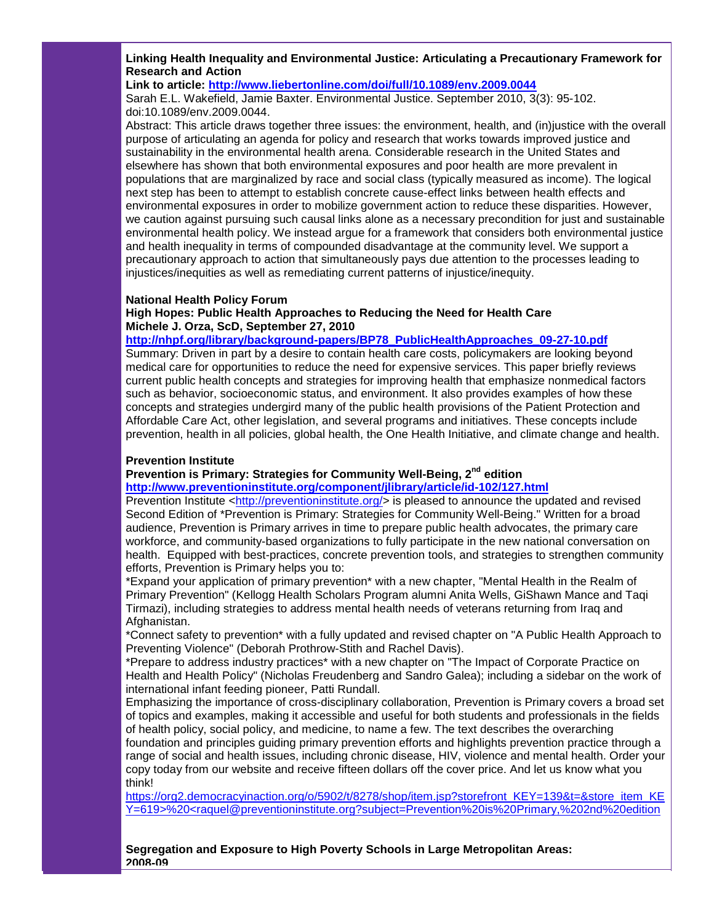**Linking Health Inequality and Environmental Justice: Articulating a Precautionary Framework for Research and Action**

## **Link to article: [http://www.liebertonline.com/doi/full/10.1089/env.2009.0044](http://r20.rs6.net/tn.jsp?llr=5gytkqcab&t=mtbkr5dab.0.xjynr5dab.5gytkqcab.1&ts=S0537&p=http%3A%2F%2Fwww.liebertonline.com%2Fdoi%2Ffull%2F10.1089%2Fenv.2009.0044)**

Sarah E.L. Wakefield, Jamie Baxter. Environmental Justice. September 2010, 3(3): 95-102. doi:10.1089/env.2009.0044.

Abstract: This article draws together three issues: the environment, health, and (in)justice with the overall purpose of articulating an agenda for policy and research that works towards improved justice and sustainability in the environmental health arena. Considerable research in the United States and elsewhere has shown that both environmental exposures and poor health are more prevalent in populations that are marginalized by race and social class (typically measured as income). The logical next step has been to attempt to establish concrete cause-effect links between health effects and environmental exposures in order to mobilize government action to reduce these disparities. However, we caution against pursuing such causal links alone as a necessary precondition for just and sustainable environmental health policy. We instead argue for a framework that considers both environmental justice and health inequality in terms of compounded disadvantage at the community level. We support a precautionary approach to action that simultaneously pays due attention to the processes leading to injustices/inequities as well as remediating current patterns of injustice/inequity.

#### **National Health Policy Forum**

#### **High Hopes: Public Health Approaches to Reducing the Need for Health Care Michele J. Orza, ScD, September 27, 2010**

## **[http://nhpf.org/library/background-papers/BP78\\_PublicHealthApproaches\\_09-27-10.pdf](http://r20.rs6.net/tn.jsp?llr=5gytkqcab&t=mtbkr5dab.0.yjynr5dab.5gytkqcab.1&ts=S0537&p=http%3A%2F%2Fnhpf.org%2Flibrary%2Fbackground-papers%2FBP78_PublicHealthApproaches_09-27-10.pdf)**

Summary: Driven in part by a desire to contain health care costs, policymakers are looking beyond medical care for opportunities to reduce the need for expensive services. This paper briefly reviews current public health concepts and strategies for improving health that emphasize nonmedical factors such as behavior, socioeconomic status, and environment. It also provides examples of how these concepts and strategies undergird many of the public health provisions of the Patient Protection and Affordable Care Act, other legislation, and several programs and initiatives. These concepts include prevention, health in all policies, global health, the One Health Initiative, and climate change and health.

#### **Prevention Institute**

## **Prevention is Primary: Strategies for Community Well-Being, 2nd edition**

**[http://www.preventioninstitute.org/component/jlibrary/article/id-102/127.html](http://r20.rs6.net/tn.jsp?llr=5gytkqcab&t=mtbkr5dab.0.zjynr5dab.5gytkqcab.1&ts=S0537&p=http%3A%2F%2Fwww.preventioninstitute.org%2Fcomponent%2Fjlibrary%2Farticle%2Fid-102%2F127.html)**

Prevention Institute [<http://preventioninstitute.org/>](http://r20.rs6.net/tn.jsp?llr=5gytkqcab&t=mtbkr5dab.0.9jynr5dab.5gytkqcab.1&ts=S0537&p=http%3A%2F%2Fpreventioninstitute.org%2F) is pleased to announce the updated and revised Second Edition of \*Prevention is Primary: Strategies for Community Well-Being." Written for a broad audience, Prevention is Primary arrives in time to prepare public health advocates, the primary care workforce, and community-based organizations to fully participate in the new national conversation on health. Equipped with best-practices, concrete prevention tools, and strategies to strengthen community efforts, Prevention is Primary helps you to:

\*Expand your application of primary prevention\* with a new chapter, "Mental Health in the Realm of Primary Prevention" (Kellogg Health Scholars Program alumni Anita Wells, GiShawn Mance and Taqi Tirmazi), including strategies to address mental health needs of veterans returning from Iraq and Afghanistan.

\*Connect safety to prevention\* with a fully updated and revised chapter on "A Public Health Approach to Preventing Violence" (Deborah Prothrow-Stith and Rachel Davis).

\*Prepare to address industry practices\* with a new chapter on "The Impact of Corporate Practice on Health and Health Policy" (Nicholas Freudenberg and Sandro Galea); including a sidebar on the work of international infant feeding pioneer, Patti Rundall.

Emphasizing the importance of cross-disciplinary collaboration, Prevention is Primary covers a broad set of topics and examples, making it accessible and useful for both students and professionals in the fields of health policy, social policy, and medicine, to name a few. The text describes the overarching foundation and principles guiding primary prevention efforts and highlights prevention practice through a range of social and health issues, including chronic disease, HIV, violence and mental health. Order your copy today from our website and receive fifteen dollars off the cover price. And let us know what you think!

[https://org2.democracyinaction.org/o/5902/t/8278/shop/item.jsp?storefront\\_KEY=139&t=&store\\_item\\_KE](http://r20.rs6.net/tn.jsp?llr=5gytkqcab&t=mtbkr5dab.0.8jynr5dab.5gytkqcab.1&ts=S0537&p=https%3A%2F%2Forg2.democracyinaction.org%2Fo%2F5902%2Ft%2F8278%2Fshop%2Fitem.jsp%3Fstorefront_KEY%3D139%26t%3D%26store_item_KEY%3D619%253e%2520%253craquel%40preventioninstitute.org%3Fsubject%3DPrevention%2520is%2520Primary%2C%25202nd%2520edition) [Y=619>%20<raquel@preventioninstitute.org?subject=Prevention%20is%20Primary,%202nd%20edition](http://r20.rs6.net/tn.jsp?llr=5gytkqcab&t=mtbkr5dab.0.8jynr5dab.5gytkqcab.1&ts=S0537&p=https%3A%2F%2Forg2.democracyinaction.org%2Fo%2F5902%2Ft%2F8278%2Fshop%2Fitem.jsp%3Fstorefront_KEY%3D139%26t%3D%26store_item_KEY%3D619%253e%2520%253craquel%40preventioninstitute.org%3Fsubject%3DPrevention%2520is%2520Primary%2C%25202nd%2520edition)

**Segregation and Exposure to High Poverty Schools in Large Metropolitan Areas: 2008-09**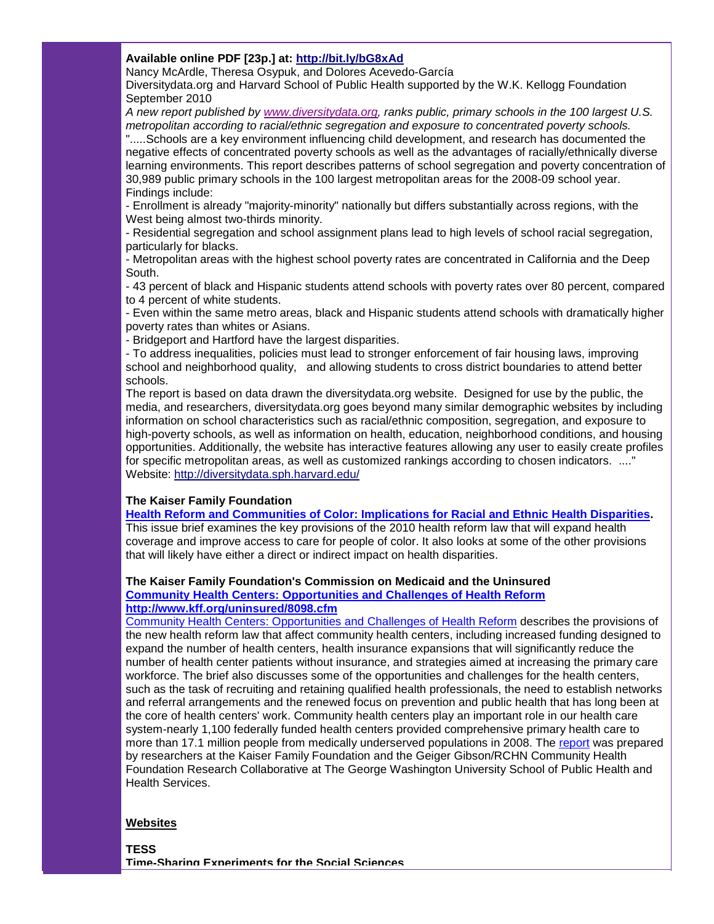## **Available online PDF [23p.] at: [http://bit.ly/bG8xAd](http://r20.rs6.net/tn.jsp?llr=5gytkqcab&t=mtbkr5dab.0.7jynr5dab.5gytkqcab.1&ts=S0537&p=http%3A%2F%2Fbit.ly%2FbG8xAd)**

Nancy McArdle, Theresa Osypuk, and Dolores Acevedo-García

Diversitydata.org and Harvard School of Public Health supported by the W.K. Kellogg Foundation September 2010

*A new report published by [www.diversitydata.org,](http://r20.rs6.net/tn.jsp?llr=5gytkqcab&t=mtbkr5dab.0.4ekuf6dab.5gytkqcab.1&ts=S0537&p=http%3A%2F%2Fwww.diversitydata.org%2F) ranks public, primary schools in the 100 largest U.S. metropolitan according to racial/ethnic segregation and exposure to concentrated poverty schools.*

".....Schools are a key environment influencing child development, and research has documented the negative effects of concentrated poverty schools as well as the advantages of racially/ethnically diverse learning environments. This report describes patterns of school segregation and poverty concentration of 30,989 public primary schools in the 100 largest metropolitan areas for the 2008-09 school year. Findings include:

- Enrollment is already "majority-minority" nationally but differs substantially across regions, with the West being almost two-thirds minority.

- Residential segregation and school assignment plans lead to high levels of school racial segregation, particularly for blacks.

- Metropolitan areas with the highest school poverty rates are concentrated in California and the Deep South.

- 43 percent of black and Hispanic students attend schools with poverty rates over 80 percent, compared to 4 percent of white students.

- Even within the same metro areas, black and Hispanic students attend schools with dramatically higher poverty rates than whites or Asians.

- Bridgeport and Hartford have the largest disparities.

- To address inequalities, policies must lead to stronger enforcement of fair housing laws, improving school and neighborhood quality, and allowing students to cross district boundaries to attend better schools.

The report is based on data drawn the diversitydata.org website. Designed for use by the public, the media, and researchers, diversitydata.org goes beyond many similar demographic websites by including information on school characteristics such as racial/ethnic composition, segregation, and exposure to high-poverty schools, as well as information on health, education, neighborhood conditions, and housing opportunities. Additionally, the website has interactive features allowing any user to easily create profiles for specific metropolitan areas, as well as customized rankings according to chosen indicators. ...." Website: [http://diversitydata.sph.harvard.edu/](http://r20.rs6.net/tn.jsp?llr=5gytkqcab&t=mtbkr5dab.0.6jynr5dab.5gytkqcab.1&ts=S0537&p=http%3A%2F%2Fdiversitydata.sph.harvard.edu%2F)

## **The Kaiser Family Foundation**

**[Health Reform and Communities of Color: Implications for Racial and Ethnic Health Disparities.](http://r20.rs6.net/tn.jsp?llr=5gytkqcab&t=mtbkr5dab.0.js99ledab.5gytkqcab.1&ts=S0537&p=http%3A%2F%2Fwww.kff.org%2Fhealthreform%2F8016.cfm)**

This issue brief examines the key provisions of the 2010 health reform law that will expand health coverage and improve access to care for people of color. It also looks at some of the other provisions that will likely have either a direct or indirect impact on health disparities.

## **The Kaiser Family Foundation's Commission on Medicaid and the Uninsured [Community Health Centers: Opportunities and Challenges of Health Reform](http://r20.rs6.net/tn.jsp?llr=5gytkqcab&t=mtbkr5dab.0.akynr5dab.5gytkqcab.1&ts=S0537&p=http%3A%2F%2Fsmtp01.kff.org%2Ft%2F13896%2F390862%2F13355%2F0%2F) [http://www.kff.org/uninsured/8098.cfm](http://r20.rs6.net/tn.jsp?llr=5gytkqcab&t=mtbkr5dab.0.bkynr5dab.5gytkqcab.1&ts=S0537&p=http%3A%2F%2Fwww.kff.org%2Funinsured%2F8098.cfm)**

[Community Health Centers: Opportunities and Challenges of Health Reform](http://r20.rs6.net/tn.jsp?llr=5gytkqcab&t=mtbkr5dab.0.akynr5dab.5gytkqcab.1&ts=S0537&p=http%3A%2F%2Fsmtp01.kff.org%2Ft%2F13896%2F390862%2F13355%2F0%2F) describes the provisions of the new health reform law that affect community health centers, including increased funding designed to expand the number of health centers, health insurance expansions that will significantly reduce the number of health center patients without insurance, and strategies aimed at increasing the primary care workforce. The brief also discusses some of the opportunities and challenges for the health centers, such as the task of recruiting and retaining qualified health professionals, the need to establish networks and referral arrangements and the renewed focus on prevention and public health that has long been at the core of health centers' work. Community health centers play an important role in our health care system-nearly 1,100 federally funded health centers provided comprehensive primary health care to more than 17.1 million people from medically underserved populations in 2008. The [report](http://r20.rs6.net/tn.jsp?llr=5gytkqcab&t=mtbkr5dab.0.akynr5dab.5gytkqcab.1&ts=S0537&p=http%3A%2F%2Fsmtp01.kff.org%2Ft%2F13896%2F390862%2F13355%2F0%2F) was prepared by researchers at the Kaiser Family Foundation and the Geiger Gibson/RCHN Community Health Foundation Research Collaborative at The George Washington University School of Public Health and Health Services.

## **Websites**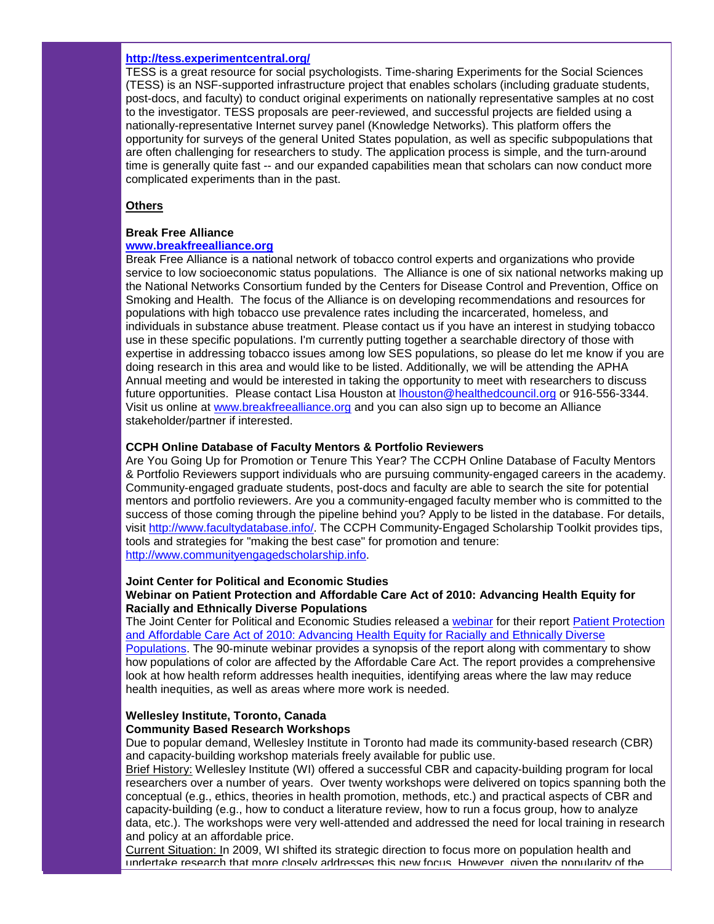#### **[http://tess.experimentcentral.org/](http://r20.rs6.net/tn.jsp?llr=5gytkqcab&t=mtbkr5dab.0.dkynr5dab.5gytkqcab.1&ts=S0537&p=http%3A%2F%2Ftess.experimentcentral.org%2F)**

TESS is a great resource for social psychologists. Time-sharing Experiments for the Social Sciences (TESS) is an NSF-supported infrastructure project that enables scholars (including graduate students, post-docs, and faculty) to conduct original experiments on nationally representative samples at no cost to the investigator. TESS proposals are peer-reviewed, and successful projects are fielded using a nationally-representative Internet survey panel (Knowledge Networks). This platform offers the opportunity for surveys of the general United States population, as well as specific subpopulations that are often challenging for researchers to study. The application process is simple, and the turn-around time is generally quite fast -- and our expanded capabilities mean that scholars can now conduct more complicated experiments than in the past.

## **Others**

## **Break Free Alliance**

## **[www.breakfreealliance.org](http://r20.rs6.net/tn.jsp?llr=5gytkqcab&t=mtbkr5dab.0.ekynr5dab.5gytkqcab.1&ts=S0537&p=http%3A%2F%2Fwww.breakfreealliance.org%2F)**

Break Free Alliance is a national network of tobacco control experts and organizations who provide service to low socioeconomic status populations. The Alliance is one of six national networks making up the National Networks Consortium funded by the Centers for Disease Control and Prevention, Office on Smoking and Health. The focus of the Alliance is on developing recommendations and resources for populations with high tobacco use prevalence rates including the incarcerated, homeless, and individuals in substance abuse treatment. Please contact us if you have an interest in studying tobacco use in these specific populations. I'm currently putting together a searchable directory of those with expertise in addressing tobacco issues among low SES populations, so please do let me know if you are doing research in this area and would like to be listed. Additionally, we will be attending the APHA Annual meeting and would be interested in taking the opportunity to meet with researchers to discuss future opportunities. Please contact Lisa Houston at [lhouston@healthedcouncil.org](mailto:lhouston@healthedcouncil.org) or 916-556-3344. Visit us online at [www.breakfreealliance.org](http://r20.rs6.net/tn.jsp?llr=5gytkqcab&t=mtbkr5dab.0.ekynr5dab.5gytkqcab.1&ts=S0537&p=http%3A%2F%2Fwww.breakfreealliance.org%2F) and you can also sign up to become an Alliance stakeholder/partner if interested.

## **CCPH Online Database of Faculty Mentors & Portfolio Reviewers**

Are You Going Up for Promotion or Tenure This Year? The CCPH Online Database of Faculty Mentors & Portfolio Reviewers support individuals who are pursuing community-engaged careers in the academy. Community-engaged graduate students, post-docs and faculty are able to search the site for potential mentors and portfolio reviewers. Are you a community-engaged faculty member who is committed to the success of those coming through the pipeline behind you? Apply to be listed in the database. For details, visit [http://www.facultydatabase.info/.](http://r20.rs6.net/tn.jsp?llr=5gytkqcab&t=mtbkr5dab.0.xj4zrqdab.5gytkqcab.1&ts=S0537&p=http%3A%2F%2Fwww.facultydatabase.info%2F) The CCPH Community-Engaged Scholarship Toolkit provides tips, tools and strategies for "making the best case" for promotion and tenure: [http://www.communityengagedscholarship.info.](http://r20.rs6.net/tn.jsp?llr=5gytkqcab&t=mtbkr5dab.0.fkynr5dab.5gytkqcab.1&ts=S0537&p=http%3A%2F%2Fwww.communityengagedscholarship.info%2F)

## **Joint Center for Political and Economic Studies Webinar on Patient Protection and Affordable Care Act of 2010: Advancing Health Equity for Racially and Ethnically Diverse Populations**

The Joint Center for Political and Economic Studies released a [webinar](http://r20.rs6.net/tn.jsp?llr=5gytkqcab&t=mtbkr5dab.0.hkynr5dab.5gytkqcab.1&ts=S0537&p=http%3A%2F%2Fwww.dialogue4health.org%2Fphp%2Fjointcenter%2Fhpi%2F8_23_10.html) for their report [Patient Protection](http://r20.rs6.net/tn.jsp?llr=5gytkqcab&t=mtbkr5dab.0.jkynr5dab.5gytkqcab.1&ts=S0537&p=http%3A%2F%2Fwww.jointcenter.org%2Fpublications_recent_publications%2Fhealth%2Fpatient_protection_and_affordable_care_act_of_2010_advancing_health_equity_for_racially_and_ethnically_diverse_populations)  [and Affordable Care Act of 2010: Advancing Health Equity for Racially and Ethnically Diverse](http://r20.rs6.net/tn.jsp?llr=5gytkqcab&t=mtbkr5dab.0.jkynr5dab.5gytkqcab.1&ts=S0537&p=http%3A%2F%2Fwww.jointcenter.org%2Fpublications_recent_publications%2Fhealth%2Fpatient_protection_and_affordable_care_act_of_2010_advancing_health_equity_for_racially_and_ethnically_diverse_populations)  [Populations.](http://r20.rs6.net/tn.jsp?llr=5gytkqcab&t=mtbkr5dab.0.jkynr5dab.5gytkqcab.1&ts=S0537&p=http%3A%2F%2Fwww.jointcenter.org%2Fpublications_recent_publications%2Fhealth%2Fpatient_protection_and_affordable_care_act_of_2010_advancing_health_equity_for_racially_and_ethnically_diverse_populations) The 90-minute webinar provides a synopsis of the report along with commentary to show how populations of color are affected by the Affordable Care Act. The report provides a comprehensive look at how health reform addresses health inequities, identifying areas where the law may reduce health inequities, as well as areas where more work is needed.

# **Wellesley Institute, Toronto, Canada**

## **Community Based Research Workshops**

Due to popular demand, Wellesley Institute in Toronto had made its community-based research (CBR) and capacity-building workshop materials freely available for public use.

Brief History: Wellesley Institute (WI) offered a successful CBR and capacity-building program for local researchers over a number of years. Over twenty workshops were delivered on topics spanning both the conceptual (e.g., ethics, theories in health promotion, methods, etc.) and practical aspects of CBR and capacity-building (e.g., how to conduct a literature review, how to run a focus group, how to analyze data, etc.). The workshops were very well-attended and addressed the need for local training in research and policy at an affordable price.

Current Situation: In 2009, WI shifted its strategic direction to focus more on population health and undertake research that more closely addresses this new focus. However, given the popularity of the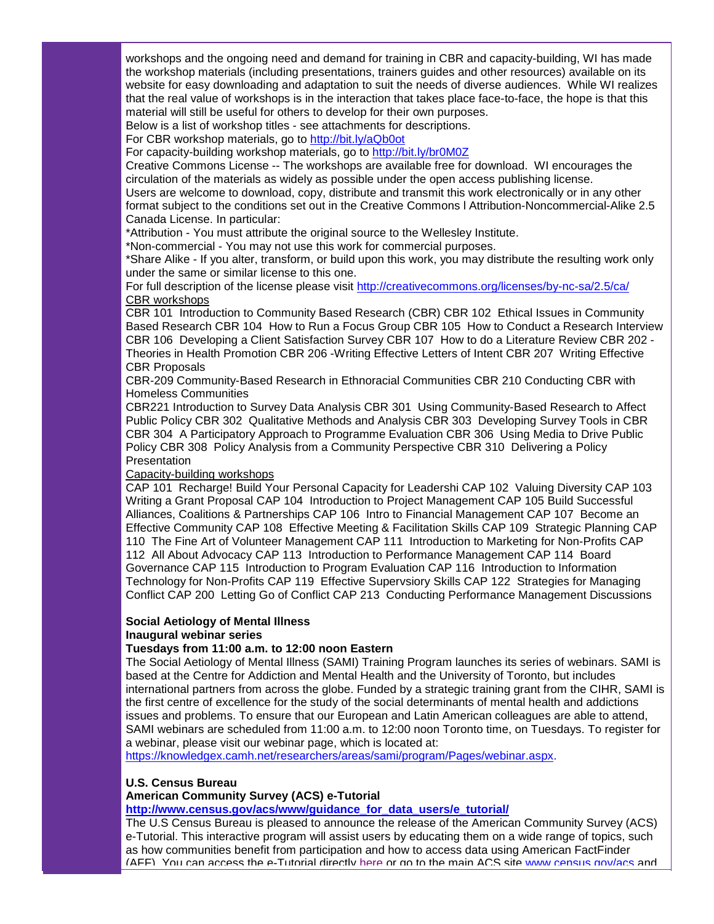workshops and the ongoing need and demand for training in CBR and capacity-building, WI has made the workshop materials (including presentations, trainers guides and other resources) available on its website for easy downloading and adaptation to suit the needs of diverse audiences. While WI realizes that the real value of workshops is in the interaction that takes place face-to-face, the hope is that this material will still be useful for others to develop for their own purposes.

Below is a list of workshop titles - see attachments for descriptions.

For CBR workshop materials, go to [http://bit.ly/aQb0ot](http://r20.rs6.net/tn.jsp?llr=5gytkqcab&t=mtbkr5dab.0.kkynr5dab.5gytkqcab.1&ts=S0537&p=http%3A%2F%2Fbit.ly%2FaQb0ot)

For capacity-building workshop materials, go to [http://bit.ly/br0M0Z](http://r20.rs6.net/tn.jsp?llr=5gytkqcab&t=mtbkr5dab.0.lkynr5dab.5gytkqcab.1&ts=S0537&p=http%3A%2F%2Fbit.ly%2Fbr0M0Z)

Creative Commons License -- The workshops are available free for download. WI encourages the circulation of the materials as widely as possible under the open access publishing license. Users are welcome to download, copy, distribute and transmit this work electronically or in any other format subject to the conditions set out in the Creative Commons l Attribution-Noncommercial-Alike 2.5 Canada License. In particular:

\*Attribution - You must attribute the original source to the Wellesley Institute.

\*Non-commercial - You may not use this work for commercial purposes.

\*Share Alike - If you alter, transform, or build upon this work, you may distribute the resulting work only under the same or similar license to this one.

For full description of the license please visit [http://creativecommons.org/licenses/by-nc-sa/2.5/ca/](http://r20.rs6.net/tn.jsp?llr=5gytkqcab&t=mtbkr5dab.0.mkynr5dab.5gytkqcab.1&ts=S0537&p=http%3A%2F%2Fcreativecommons.org%2Flicenses%2Fby-nc-sa%2F2.5%2Fca%2F) CBR workshops

CBR 101 Introduction to Community Based Research (CBR) CBR 102 Ethical Issues in Community Based Research CBR 104 How to Run a Focus Group CBR 105 How to Conduct a Research Interview CBR 106 Developing a Client Satisfaction Survey CBR 107 How to do a Literature Review CBR 202 - Theories in Health Promotion CBR 206 -Writing Effective Letters of Intent CBR 207 Writing Effective CBR Proposals

CBR-209 Community-Based Research in Ethnoracial Communities CBR 210 Conducting CBR with Homeless Communities

CBR221 Introduction to Survey Data Analysis CBR 301 Using Community-Based Research to Affect Public Policy CBR 302 Qualitative Methods and Analysis CBR 303 Developing Survey Tools in CBR CBR 304 A Participatory Approach to Programme Evaluation CBR 306 Using Media to Drive Public Policy CBR 308 Policy Analysis from a Community Perspective CBR 310 Delivering a Policy **Presentation** 

## Capacity-building workshops

CAP 101 Recharge! Build Your Personal Capacity for Leadershi CAP 102 Valuing Diversity CAP 103 Writing a Grant Proposal CAP 104 Introduction to Project Management CAP 105 Build Successful Alliances, Coalitions & Partnerships CAP 106 Intro to Financial Management CAP 107 Become an Effective Community CAP 108 Effective Meeting & Facilitation Skills CAP 109 Strategic Planning CAP 110 The Fine Art of Volunteer Management CAP 111 Introduction to Marketing for Non-Profits CAP 112 All About Advocacy CAP 113 Introduction to Performance Management CAP 114 Board Governance CAP 115 Introduction to Program Evaluation CAP 116 Introduction to Information Technology for Non-Profits CAP 119 Effective Supervsiory Skills CAP 122 Strategies for Managing Conflict CAP 200 Letting Go of Conflict CAP 213 Conducting Performance Management Discussions

#### **Social Aetiology of Mental Illness Inaugural webinar series**

## **Tuesdays from 11:00 a.m. to 12:00 noon Eastern**

The Social Aetiology of Mental Illness (SAMI) Training Program launches its series of webinars. SAMI is based at the Centre for Addiction and Mental Health and the University of Toronto, but includes international partners from across the globe. Funded by a strategic training grant from the CIHR, SAMI is the first centre of excellence for the study of the social determinants of mental health and addictions issues and problems. To ensure that our European and Latin American colleagues are able to attend, SAMI webinars are scheduled from 11:00 a.m. to 12:00 noon Toronto time, on Tuesdays. To register for a webinar, please visit our webinar page, which is located at:

[https://knowledgex.camh.net/researchers/areas/sami/program/Pages/webinar.aspx.](http://r20.rs6.net/tn.jsp?llr=5gytkqcab&t=mtbkr5dab.0.nkynr5dab.5gytkqcab.1&ts=S0537&p=https%3A%2F%2Fknowledgex.camh.net%2Fresearchers%2Fareas%2Fsami%2Fprogram%2FPages%2Fwebinar.aspx)

#### **U.S. Census Bureau**

#### **American Community Survey (ACS) e-Tutorial**

**[http://www.census.gov/acs/www/guidance\\_for\\_data\\_users/e\\_tutorial/](http://r20.rs6.net/tn.jsp?llr=5gytkqcab&t=mtbkr5dab.0.okynr5dab.5gytkqcab.1&ts=S0537&p=http%3A%2F%2Fwww.census.gov%2Facs%2Fwww%2Fguidance_for_data_users%2Fe_tutorial%2F)**

The U.S Census Bureau is pleased to announce the release of the American Community Survey (ACS) e-Tutorial. This interactive program will assist users by educating them on a wide range of topics, such as how communities benefit from participation and how to access data using American FactFinder (AFF). You can access the e-Tutorial directly [here](http://r20.rs6.net/tn.jsp?llr=5gytkqcab&t=mtbkr5dab.0.pkynr5dab.5gytkqcab.1&ts=S0537&p=http%3A%2F%2Flinks.govdelivery.com%2Ftrack%3Ftype%3Dclick%26enid%3DbWFpbGluZ2lkPTEwMTE5MjEmbWVzc2FnZWlkPVBSRC1CVUwtMTAxMTkyMSZkYXRhYmFzZWlkPTEwMDEmc2VyaWFsPTEyNzY2Mjc2NzYmZW1haWxpZD1pbXMxQGNkYy5nb3YmdXNlcmlkPWltczFAY2RjLmdvdiZmbD0mZXh0cmE9TXVsdGl2YXJpYXRlSWQ9JiYm%26%26%26100%26%26%26http%3A%2F%2Fwww.census.gov%2Facs%2Fwww%2Fguidance_for_data_users%2Fe_tutorial%2F) or go to the main ACS site [www.census.gov/acs](http://r20.rs6.net/tn.jsp?llr=5gytkqcab&t=mtbkr5dab.0.qkynr5dab.5gytkqcab.1&ts=S0537&p=http%3A%2F%2Flinks.govdelivery.com%2Ftrack%3Ftype%3Dclick%26enid%3DbWFpbGluZ2lkPTEwMTE5MjEmbWVzc2FnZWlkPVBSRC1CVUwtMTAxMTkyMSZkYXRhYmFzZWlkPTEwMDEmc2VyaWFsPTEyNzY2Mjc2NzYmZW1haWxpZD1pbXMxQGNkYy5nb3YmdXNlcmlkPWltczFAY2RjLmdvdiZmbD0mZXh0cmE9TXVsdGl2YXJpYXRlSWQ9JiYm%26%26%26101%26%26%26http%3A%2F%2Fwww.census.gov%2Facs) and